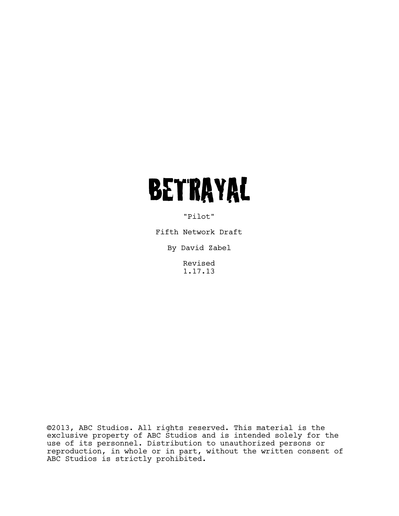# **BETRAYAL**

"Pilot"

Fifth Network Draft

By David Zabel

Revised 1.17.13

©2013, ABC Studios. All rights reserved. This material is the exclusive property of ABC Studios and is intended solely for the use of its personnel. Distribution to unauthorized persons or reproduction, in whole or in part, without the written consent of ABC Studios is strictly prohibited.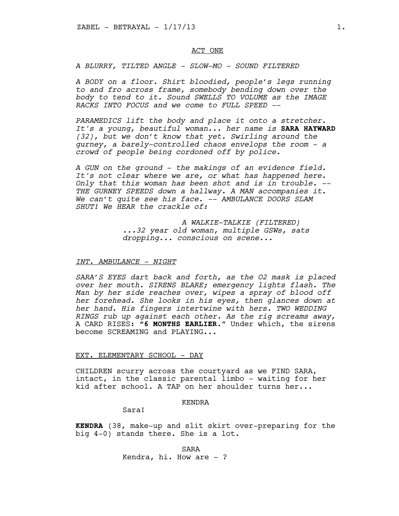## ACT ONE

*A BLURRY, TILTED ANGLE - SLOW-MO - SOUND FILTERED* 

*A BODY on a floor. Shirt bloodied, people's legs running to and fro across frame, somebody bending down over the body to tend to it. Sound SWELLS TO VOLUME as the IMAGE RACKS INTO FOCUS and we come to FULL SPEED --*

*PARAMEDICS lift the body and place it onto a stretcher. It's a young, beautiful woman... her name is* **SARA HAYWARD** *(32), but we don't know that yet. Swirling around the gurney, a barely-controlled chaos envelops the room - a crowd of people being cordoned off by police.* 

*A GUN on the ground - the makings of an evidence field. It's not clear where we are, or what has happened here. Only that this woman has been shot and is in trouble. -- THE GURNEY SPEEDS down a hallway. A MAN accompanies it. We can't quite see his face. -- AMBULANCE DOORS SLAM SHUT! We HEAR the crackle of:* 

> *A WALKIE-TALKIE (FILTERED) ...32 year old woman, multiple GSWs, sats dropping... conscious on scene...*

## *INT. AMBULANCE - NIGHT*

*SARA'S EYES dart back and forth, as the O2 mask is placed over her mouth. SIRENS BLARE; emergency lights flash. The Man by her side reaches over, wipes a spray of blood off her forehead. She looks in his eyes, then glances down at her hand. His fingers intertwine with hers. TWO WEDDING RINGS rub up against each other. As the rig screams away,* A CARD RISES: **"6 MONTHS EARLIER**." Under which, the sirens become SCREAMING and PLAYING...

#### EXT. ELEMENTARY SCHOOL - DAY

CHILDREN scurry across the courtyard as we FIND SARA, intact, in the classic parental limbo - waiting for her kid after school. A TAP on her shoulder turns her...

#### KENDRA

Sara!

**KENDRA** (38, make-up and slit skirt over-preparing for the big 4-0) stands there. She is a lot.

> SARA Kendra, hi. How are  $-$  ?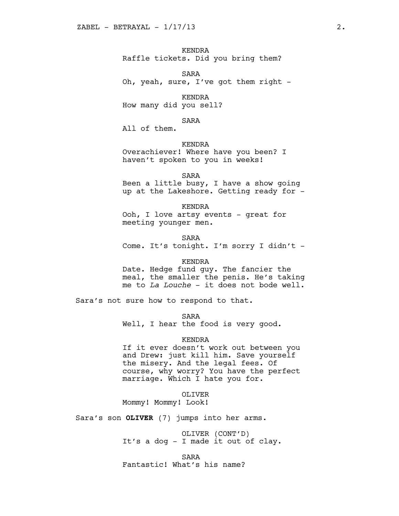KENDRA Raffle tickets. Did you bring them?

SARA Oh, yeah, sure, I've got them right -

KENDRA How many did you sell?

SARA

All of them.

KENDRA

Overachiever! Where have you been? I haven't spoken to you in weeks!

SARA Been a little busy, I have a show going up at the Lakeshore. Getting ready for -

KENDRA Ooh, I love artsy events - great for meeting younger men.

SARA Come. It's tonight. I'm sorry I didn't -

## KENDRA

Date. Hedge fund guy. The fancier the meal, the smaller the penis. He's taking me to *La Louche* - it does not bode well.

Sara's not sure how to respond to that.

SARA

Well, I hear the food is very good.

## KENDRA

If it ever doesn't work out between you and Drew: just kill him. Save yourself the misery. And the legal fees. Of course, why worry? You have the perfect marriage. Which I hate you for.

OLIVER

Mommy! Mommy! Look!

Sara's son **OLIVER** (7) jumps into her arms.

OLIVER (CONT'D) It's a dog - I made it out of clay.

SARA Fantastic! What's his name?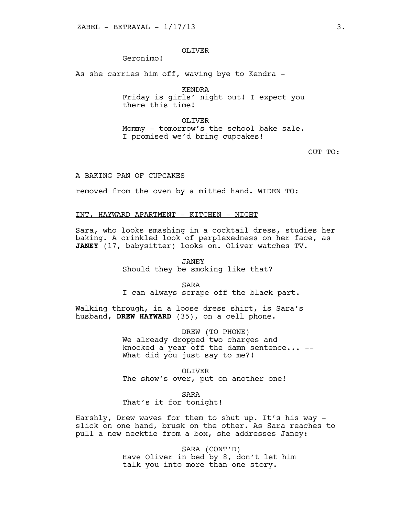# OLIVER

# Geronimo!

As she carries him off, waving bye to Kendra -

KENDRA

Friday is girls' night out! I expect you there this time!

OLIVER Mommy - tomorrow's the school bake sale. I promised we'd bring cupcakes!

CUT TO:

## A BAKING PAN OF CUPCAKES

removed from the oven by a mitted hand. WIDEN TO:

## INT. HAYWARD APARTMENT - KITCHEN - NIGHT

Sara, who looks smashing in a cocktail dress, studies her baking. A crinkled look of perplexedness on her face, as **JANEY** (17, babysitter) looks on. Oliver watches TV.

> JANEY Should they be smoking like that?

> > SARA

I can always scrape off the black part.

Walking through, in a loose dress shirt, is Sara's husband, **DREW HAYWARD** (35), on a cell phone.

> DREW (TO PHONE) We already dropped two charges and knocked a year off the damn sentence... -- What did you just say to me?!

OLIVER The show's over, put on another one!

SARA

That's it for tonight!

Harshly, Drew waves for them to shut up. It's his way slick on one hand, brusk on the other. As Sara reaches to pull a new necktie from a box, she addresses Janey:

> SARA (CONT'D) Have Oliver in bed by 8, don't let him talk you into more than one story.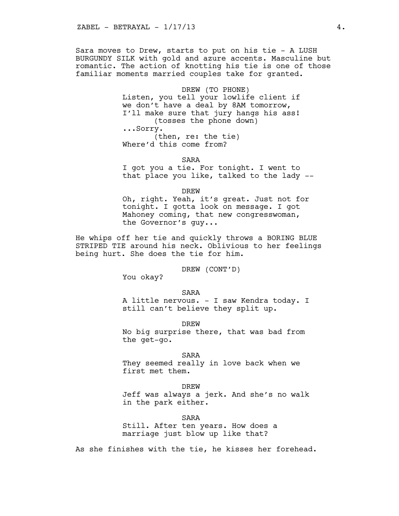Sara moves to Drew, starts to put on his tie - A LUSH BURGUNDY SILK with gold and azure accents. Masculine but romantic. The action of knotting his tie is one of those familiar moments married couples take for granted.

> DREW (TO PHONE) Listen, you tell your lowlife client if we don't have a deal by 8AM tomorrow, I'll make sure that jury hangs his ass! (tosses the phone down) ...Sorry. (then, re: the tie) Where'd this come from?

> > SARA

I got you a tie. For tonight. I went to that place you like, talked to the lady --

DREW

Oh, right. Yeah, it's great. Just not for tonight. I gotta look on message. I got Mahoney coming, that new congresswoman, the Governor's guy...

He whips off her tie and quickly throws a BORING BLUE STRIPED TIE around his neck. Oblivious to her feelings being hurt. She does the tie for him.

DREW (CONT'D)

You okay?

SARA

A little nervous. - I saw Kendra today. I still can't believe they split up.

**DREW** 

No big surprise there, that was bad from the get-go.

SARA

They seemed really in love back when we first met them.

DREW

Jeff was always a jerk. And she's no walk in the park either.

SARA

Still. After ten years. How does a marriage just blow up like that?

As she finishes with the tie, he kisses her forehead.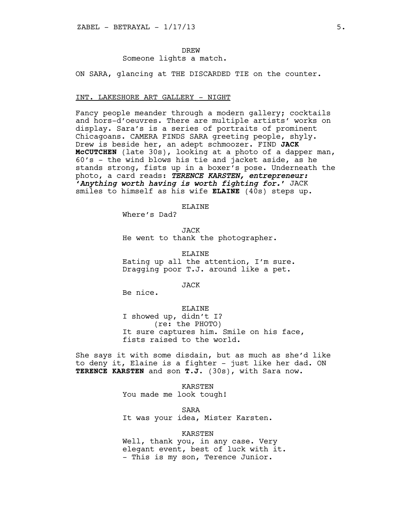**DREW** Someone lights a match.

ON SARA, glancing at THE DISCARDED TIE on the counter.

#### INT. LAKESHORE ART GALLERY - NIGHT

Fancy people meander through a modern gallery; cocktails and hors-d'oeuvres. There are multiple artists' works on display. Sara's is a series of portraits of prominent Chicagoans. CAMERA FINDS SARA greeting people, shyly. Drew is beside her, an adept schmoozer. FIND **JACK McCUTCHEN** (late 30s), looking at a photo of a dapper man, 60's - the wind blows his tie and jacket aside, as he stands strong, fists up in a boxer's pose. Underneath the photo, a card reads: *TERENCE KARSTEN, entrepreneur: 'Anything worth having is worth fighting for.'* JACK smiles to himself as his wife **ELAINE** (40s) steps up.

**ELAINE** 

Where's Dad?

JACK He went to thank the photographer.

ELAINE Eating up all the attention, I'm sure. Dragging poor T.J. around like a pet.

JACK

Be nice.

#### ELAINE

I showed up, didn't I? (re: the PHOTO) It sure captures him. Smile on his face, fists raised to the world.

She says it with some disdain, but as much as she'd like to deny it, Elaine is a fighter - just like her dad. ON **TERENCE KARSTEN** and son **T.J.** (30s), with Sara now.

> KARSTEN You made me look tough!

SARA It was your idea, Mister Karsten.

## KARSTEN

Well, thank you, in any case. Very elegant event, best of luck with it. - This is my son, Terence Junior.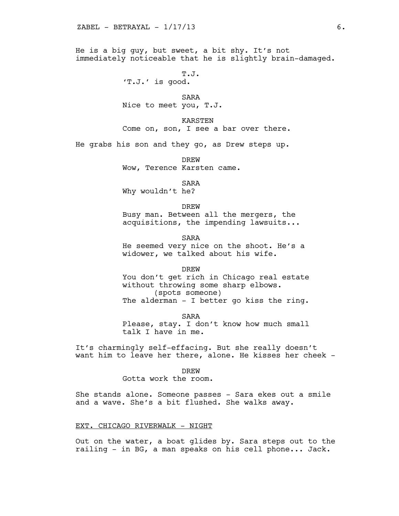He is a big guy, but sweet, a bit shy. It's not immediately noticeable that he is slightly brain-damaged.

> T.J. 'T.J.' is good.

SARA Nice to meet you, T.J.

KARSTEN Come on, son, I see a bar over there.

He grabs his son and they go, as Drew steps up.

DREW Wow, Terence Karsten came.

SARA

Why wouldn't he?

**DREW** Busy man. Between all the mergers, the acquisitions, the impending lawsuits...

SARA He seemed very nice on the shoot. He's a widower, we talked about his wife.

DREW You don't get rich in Chicago real estate without throwing some sharp elbows. (spots someone) The alderman - I better go kiss the ring.

SARA Please, stay. I don't know how much small talk I have in me.

It's charmingly self-effacing. But she really doesn't want him to leave her there, alone. He kisses her cheek -

DREW

Gotta work the room.

She stands alone. Someone passes - Sara ekes out a smile and a wave. She's a bit flushed. She walks away.

## EXT. CHICAGO RIVERWALK - NIGHT

Out on the water, a boat glides by. Sara steps out to the railing - in BG, a man speaks on his cell phone... Jack.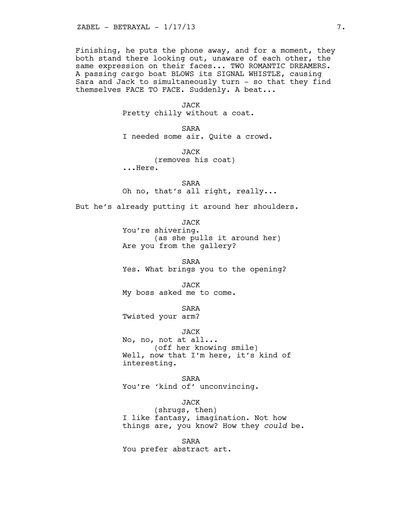Finishing, he puts the phone away, and for a moment, they both stand there looking out, unaware of each other, the same expression on their faces... TWO ROMANTIC DREAMERS. A passing cargo boat BLOWS its SIGNAL WHISTLE, causing Sara and Jack to simultaneously turn - so that they find themselves FACE TO FACE. Suddenly. A beat...

> JACK Pretty chilly without a coat.

SARA I needed some air. Quite a crowd.

JACK (removes his coat) ...Here.

SARA Oh no, that's all right, really...

But he's already putting it around her shoulders.

JACK You're shivering. (as she pulls it around her) Are you from the gallery?

SARA Yes. What brings you to the opening?

JACK My boss asked me to come.

SARA Twisted your arm?

JACK No, no, not at all... (off her knowing smile) Well, now that I'm here, it's kind of interesting.

SARA You're 'kind of' unconvincing.

JACK (shrugs, then) I like fantasy, imagination. Not how things are, you know? How they *could* be.

SARA You prefer abstract art.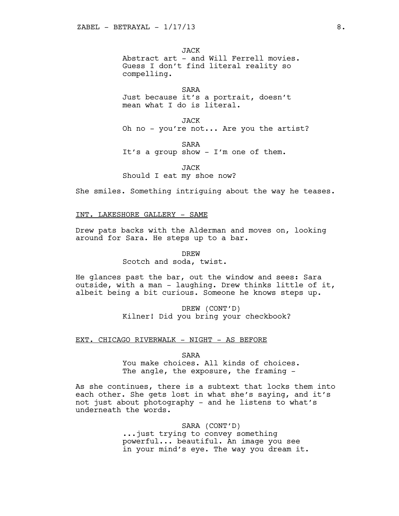JACK Abstract art - and Will Ferrell movies. Guess I don't find literal reality so compelling.

SARA Just because it's a portrait, doesn't mean what I do is literal.

JACK Oh no - you're not... Are you the artist?

SARA It's a group show - I'm one of them.

**JACK** Should I eat my shoe now?

She smiles. Something intriguing about the way he teases.

INT. LAKESHORE GALLERY - SAME

Drew pats backs with the Alderman and moves on, looking around for Sara. He steps up to a bar.

> DREW Scotch and soda, twist.

He glances past the bar, out the window and sees: Sara outside, with a man - laughing. Drew thinks little of it, albeit being a bit curious. Someone he knows steps up.

> DREW (CONT'D) Kilner! Did you bring your checkbook?

EXT. CHICAGO RIVERWALK - NIGHT - AS BEFORE

SARA

You make choices. All kinds of choices. The angle, the exposure, the framing -

As she continues, there is a subtext that locks them into each other. She gets lost in what she's saying, and it's not just about photography - and he listens to what's underneath the words.

> SARA (CONT'D) ...just trying to convey something powerful... beautiful. An image you see in your mind's eye. The way you dream it.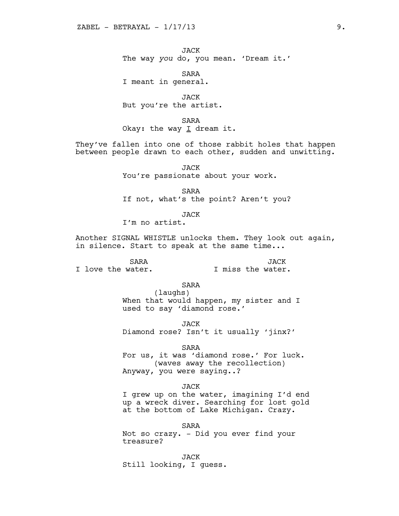JACK The way *you* do, you mean. 'Dream it.'

SARA I meant in general.

JACK But you're the artist.

SARA Okay: the way  $I$  dream it.

They've fallen into one of those rabbit holes that happen between people drawn to each other, sudden and unwitting.

> JACK You're passionate about your work.

SARA If not, what's the point? Aren't you?

JACK I'm no artist.

Another SIGNAL WHISTLE unlocks them. They look out again, in silence. Start to speak at the same time...

SARA I love the water. JACK I miss the water.

> SARA (laughs) When that would happen, my sister and I used to say 'diamond rose.'

JACK Diamond rose? Isn't it usually 'jinx?'

SARA For us, it was 'diamond rose.' For luck. (waves away the recollection) Anyway, you were saying..?

JACK I grew up on the water, imagining I'd end up a wreck diver. Searching for lost gold at the bottom of Lake Michigan. Crazy.

SARA Not so crazy. - Did you ever find your treasure?

JACK Still looking, I guess.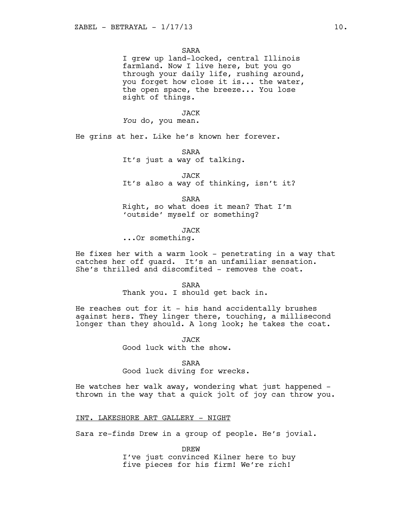SARA

I grew up land-locked, central Illinois farmland. Now I live here, but you go through your daily life, rushing around, you forget how close it is... the water, the open space, the breeze... You lose sight of things.

#### JACK

*You* do, you mean.

He grins at her. Like he's known her forever.

SARA It's just a way of talking.

JACK It's also a way of thinking, isn't it?

SARA Right, so what does it mean? That I'm 'outside' myself or something?

JACK

...Or something.

He fixes her with a warm look - penetrating in a way that catches her off guard. It's an unfamiliar sensation. She's thrilled and discomfited - removes the coat.

SARA

Thank you. I should get back in.

He reaches out for it - his hand accidentally brushes against hers. They linger there, touching, a millisecond longer than they should. A long look; he takes the coat.

> **JACK** Good luck with the show.

> > SARA

Good luck diving for wrecks.

He watches her walk away, wondering what just happened thrown in the way that a quick jolt of joy can throw you.

INT. LAKESHORE ART GALLERY - NIGHT

Sara re-finds Drew in a group of people. He's jovial.

DREW I've just convinced Kilner here to buy five pieces for his firm! We're rich!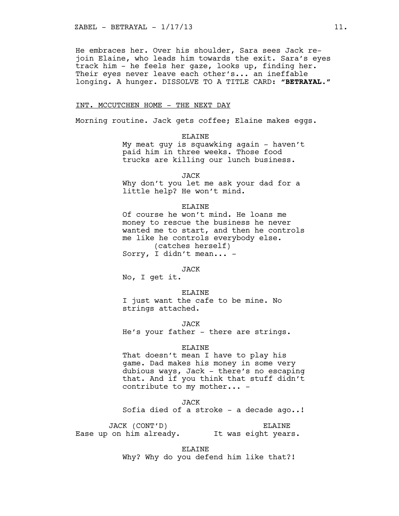He embraces her. Over his shoulder, Sara sees Jack rejoin Elaine, who leads him towards the exit. Sara's eyes track him - he feels her gaze, looks up, finding her. Their eyes never leave each other's... an ineffable longing. A hunger. DISSOLVE TO A TITLE CARD: **"BETRAYAL."**

## INT. MCCUTCHEN HOME - THE NEXT DAY

Morning routine. Jack gets coffee; Elaine makes eggs.

ELAINE My meat guy is squawking again - haven't paid him in three weeks. Those food trucks are killing our lunch business.

JACK

Why don't you let me ask your dad for a little help? He won't mind.

## **ELAINE**

Of course he won't mind. He loans me money to rescue the business he never wanted me to start, and then he controls me like he controls everybody else. (catches herself) Sorry, I didn't mean... -

JACK

No, I get it.

ELAINE I just want the cafe to be mine. No strings attached.

JACK He's your father - there are strings.

#### ELAINE

That doesn't mean I have to play his game. Dad makes his money in some very dubious ways, Jack - there's no escaping that. And if you think that stuff didn't contribute to my mother... -

JACK

Sofia died of a stroke - a decade ago..!

JACK (CONT'D) \* Ease up on him already. \* It was eight years. ELAINE

ELAINE

Why? Why do you defend him like that?!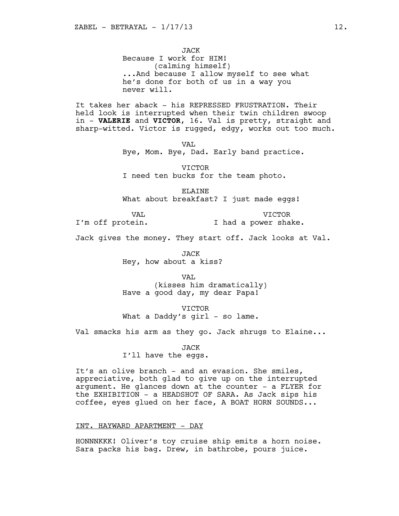JACK Because I work for HIM! (calming himself) ...And because I allow myself to see what he's done for both of us in a way you never will.

It takes her aback - his REPRESSED FRUSTRATION. Their held look is interrupted when their twin children swoop in - **VALERIE** and **VICTOR**, 16. Val is pretty, straight and sharp-witted. Victor is rugged, edgy, works out too much.

VAL

Bye, Mom. Bye, Dad. Early band practice.

VICTOR I need ten bucks for the team photo.

ELAINE What about breakfast? I just made eggs!

VAL I'm off protein.

VICTOR I had a power shake.

Jack gives the money. They start off. Jack looks at Val.

JACK Hey, how about a kiss?

VAL

(kisses him dramatically) Have a good day, my dear Papa!

VICTOR What a Daddy's girl - so lame.

Val smacks his arm as they go. Jack shrugs to Elaine...

JACK I'll have the eggs.

It's an olive branch - and an evasion. She smiles, appreciative, both glad to give up on the interrupted argument. He glances down at the counter - a FLYER for the EXHIBITION - a HEADSHOT OF SARA. As Jack sips his coffee, eyes glued on her face, A BOAT HORN SOUNDS...

## INT. HAYWARD APARTMENT - DAY

HONNNKKK! Oliver's toy cruise ship emits a horn noise. Sara packs his bag. Drew, in bathrobe, pours juice.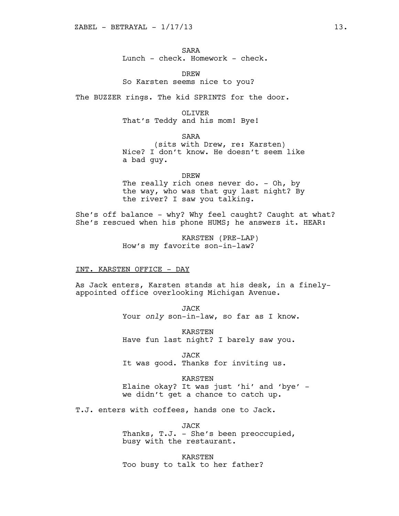SARA Lunch - check. Homework - check.

DREW So Karsten seems nice to you?

The BUZZER rings. The kid SPRINTS for the door.

OLIVER That's Teddy and his mom! Bye!

SARA (sits with Drew, re: Karsten) Nice? I don't know. He doesn't seem like a bad guy.

DREW The really rich ones never do. - Oh, by the way, who was that guy last night? By the river? I saw you talking.

She's off balance - why? Why feel caught? Caught at what? She's rescued when his phone HUMS; he answers it. HEAR:

> KARSTEN (PRE-LAP) How's my favorite son-in-law?

#### INT. KARSTEN OFFICE - DAY

As Jack enters, Karsten stands at his desk, in a finelyappointed office overlooking Michigan Avenue.

> JACK Your *only* son-in-law, so far as I know.

KARSTEN Have fun last night? I barely saw you.

JACK It was good. Thanks for inviting us.

KARSTEN Elaine okay? It was just 'hi' and 'bye' we didn't get a chance to catch up.

T.J. enters with coffees, hands one to Jack.

JACK Thanks, T.J. - She's been preoccupied, busy with the restaurant.

KARSTEN Too busy to talk to her father?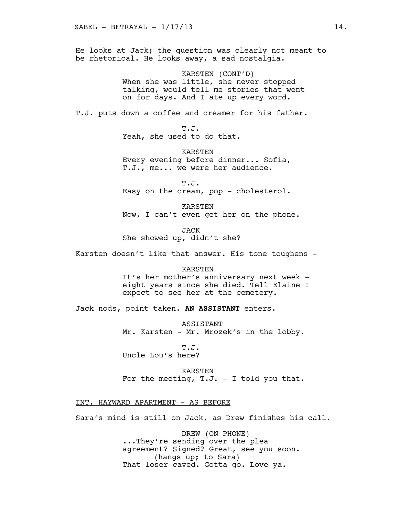He looks at Jack; the question was clearly not meant to be rhetorical. He looks away, a sad nostalgia.

> KARSTEN (CONT'D) When she was little, she never stopped talking, would tell me stories that went on for days. And I ate up every word.

T.J. puts down a coffee and creamer for his father.

T.J. Yeah, she used to do that.

KARSTEN Every evening before dinner... Sofia, T.J., me... we were her audience.

T.J. Easy on the cream, pop - cholesterol.

KARSTEN Now, I can't even get her on the phone.

JACK She showed up, didn't she?

Karsten doesn't like that answer. His tone toughens -

#### KARSTEN

It's her mother's anniversary next week eight years since she died. Tell Elaine I expect to see her at the cemetery.

Jack nods, point taken. **AN ASSISTANT** enters.

ASSISTANT Mr. Karsten - Mr. Mrozek's in the lobby.

T.J. Uncle Lou's here?

KARSTEN

For the meeting,  $T.J. - I$  told you that.

INT. HAYWARD APARTMENT - AS BEFORE

Sara's mind is still on Jack, as Drew finishes his call.

DREW (ON PHONE) ...They're sending over the plea agreement? Signed? Great, see you soon. (hangs up; to Sara) That loser caved. Gotta go. Love ya.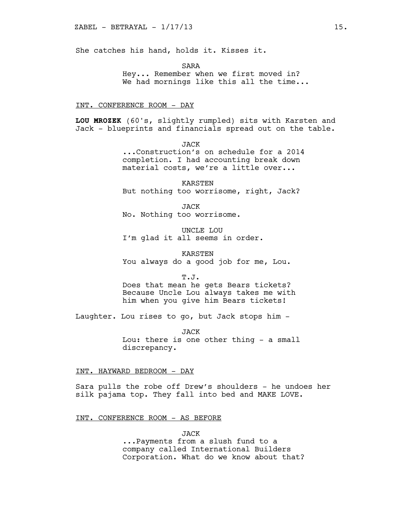She catches his hand, holds it. Kisses it.

SARA

Hey... Remember when we first moved in? We had mornings like this all the time...

#### INT. CONFERENCE ROOM - DAY

**LOU MROZEK** (60's, slightly rumpled) sits with Karsten and Jack - blueprints and financials spread out on the table.

> JACK ...Construction's on schedule for a 2014 completion. I had accounting break down material costs, we're a little over...

KARSTEN But nothing too worrisome, right, Jack?

JACK No. Nothing too worrisome.

UNCLE LOU I'm glad it all seems in order.

KARSTEN You always do a good job for me, Lou.

T.J.

Does that mean he gets Bears tickets? Because Uncle Lou always takes me with him when you give him Bears tickets!

Laughter. Lou rises to go, but Jack stops him -

JACK Lou: there is one other thing - a small discrepancy.

INT. HAYWARD BEDROOM - DAY

Sara pulls the robe off Drew's shoulders - he undoes her silk pajama top. They fall into bed and MAKE LOVE.

#### INT. CONFERENCE ROOM - AS BEFORE

JACK

...Payments from a slush fund to a company called International Builders Corporation. What do we know about that?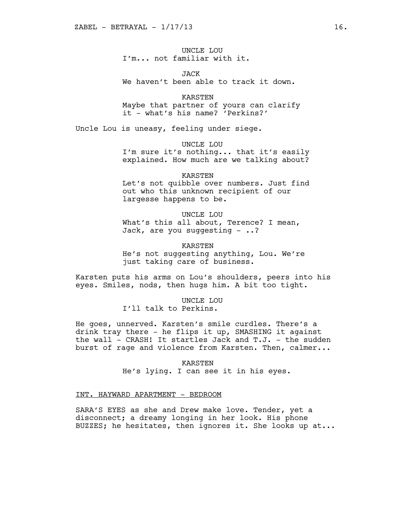UNCLE LOU I'm... not familiar with it.

JACK We haven't been able to track it down.

KARSTEN Maybe that partner of yours can clarify it - what's his name? 'Perkins?'

Uncle Lou is uneasy, feeling under siege.

UNCLE LOU

I'm sure it's nothing... that it's easily explained. How much are we talking about?

KARSTEN

Let's not quibble over numbers. Just find out who this unknown recipient of our largesse happens to be.

UNCLE LOU What's this all about, Terence? I mean, Jack, are you suggesting  $-$  ..?

KARSTEN He's not suggesting anything, Lou. We're just taking care of business.

Karsten puts his arms on Lou's shoulders, peers into his eyes. Smiles, nods, then hugs him. A bit too tight.

> UNCLE LOU I'll talk to Perkins.

He goes, unnerved. Karsten's smile curdles. There's a drink tray there - he flips it up, SMASHING it against the wall - CRASH! It startles Jack and T.J. - the sudden burst of rage and violence from Karsten. Then, calmer...

> KARSTEN He's lying. I can see it in his eyes.

## INT. HAYWARD APARTMENT - BEDROOM

SARA'S EYES as she and Drew make love. Tender, yet a disconnect; a dreamy longing in her look. His phone BUZZES; he hesitates, then ignores it. She looks up at...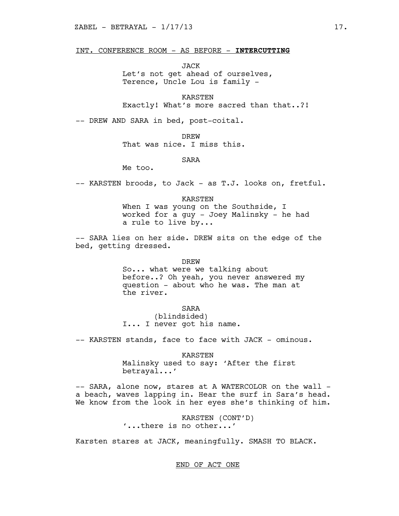## INT. CONFERENCE ROOM - AS BEFORE - **INTERCUTTING**

JACK

Let's not get ahead of ourselves, Terence, Uncle Lou is family -

KARSTEN Exactly! What's more sacred than that..?!

-- DREW AND SARA in bed, post-coital.

**DREW** 

That was nice. I miss this.

SARA

Me too.

-- KARSTEN broods, to Jack - as T.J. looks on, fretful.

KARSTEN

When I was young on the Southside, I worked for a guy - Joey Malinsky - he had a rule to live by...

-- SARA lies on her side. DREW sits on the edge of the bed, getting dressed.

DREW

So... what were we talking about before..? Oh yeah, you never answered my question - about who he was. The man at the river.

SARA

(blindsided) I... I never got his name.

-- KARSTEN stands, face to face with JACK - ominous.

KARSTEN

Malinsky used to say: 'After the first betrayal...'

-- SARA, alone now, stares at A WATERCOLOR on the wall a beach, waves lapping in. Hear the surf in Sara's head. We know from the look in her eyes she's thinking of him.

> KARSTEN (CONT'D) '...there is no other...'

Karsten stares at JACK, meaningfully. SMASH TO BLACK.

END OF ACT ONE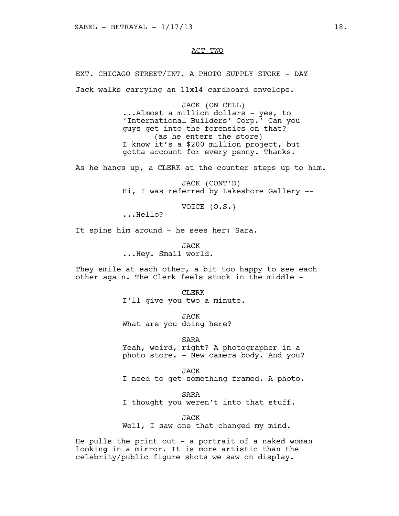## ACT TWO

## EXT. CHICAGO STREET/INT. A PHOTO SUPPLY STORE - DAY

Jack walks carrying an 11x14 cardboard envelope.

JACK (ON CELL) ...Almost a million dollars - yes, to 'International Builders' Corp.' Can you guys get into the forensics on that? (as he enters the store) I know it's a \$200 million project, but gotta account for every penny. Thanks.

As he hangs up, a CLERK at the counter steps up to him.

JACK (CONT'D) Hi, I was referred by Lakeshore Gallery --

VOICE (O.S.)

...Hello?

It spins him around - he sees her: Sara.

JACK ...Hey. Small world.

They smile at each other, a bit too happy to see each other again. The Clerk feels stuck in the middle -

> CLERK I'll give you two a minute.

JACK What are you doing here?

SARA Yeah, weird, right? A photographer in a photo store. - New camera body. And you?

JACK I need to get something framed. A photo.

SARA

I thought you weren't into that stuff.

JACK

Well, I saw one that changed my mind.

He pulls the print out  $-$  a portrait of a naked woman looking in a mirror. It is more artistic than the celebrity/public figure shots we saw on display.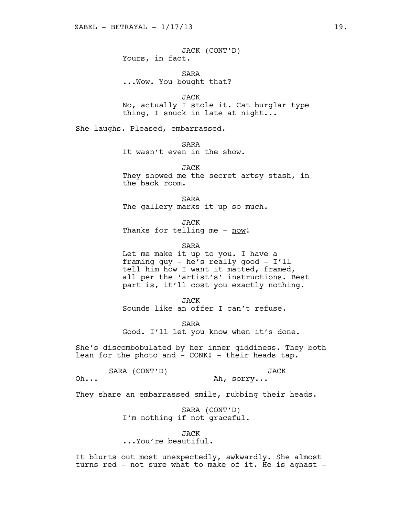JACK (CONT'D) Yours, in fact.

SARA ...Wow. You bought that?

JACK No, actually I stole it. Cat burglar type thing, I snuck in late at night...

She laughs. Pleased, embarrassed.

SARA

It wasn't even in the show.

JACK They showed me the secret artsy stash, in the back room.

SARA The gallery marks it up so much.

JACK Thanks for telling me - now!

SARA

Let me make it up to you. I have a framing guy - he's really good - I'll tell him how I want it matted, framed, all per the 'artist's' instructions. Best part is, it'll cost you exactly nothing.

JACK Sounds like an offer I can't refuse.

SARA Good. I'll let you know when it's done.

She's discombobulated by her inner giddiness. They both lean for the photo and - CONK! - their heads tap.

SARA (CONT'D) \*

JACK

Oh... \* Ah, sorry...

They share an embarrassed smile, rubbing their heads.

SARA (CONT'D) I'm nothing if not graceful.

JACK

...You're beautiful.

It blurts out most unexpectedly, awkwardly. She almost turns red - not sure what to make of it. He is aghast -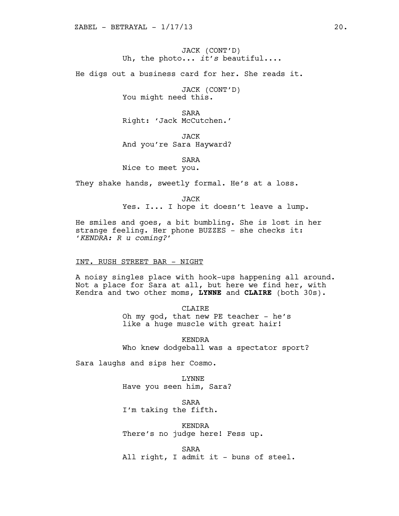JACK (CONT'D) Uh, the photo... *it's* beautiful....

He digs out a business card for her. She reads it.

JACK (CONT'D) You might need this.

SARA Right: 'Jack McCutchen.'

JACK And you're Sara Hayward?

SARA Nice to meet you.

They shake hands, sweetly formal. He's at a loss.

JACK Yes. I... I hope it doesn't leave a lump.

He smiles and goes, a bit bumbling. She is lost in her strange feeling. Her phone BUZZES - she checks it: '*KENDRA: R u coming?*'

## INT. RUSH STREET BAR - NIGHT

A noisy singles place with hook-ups happening all around. Not a place for Sara at all, but here we find her, with Kendra and two other moms, **LYNNE** and **CLAIRE** (both 30s).

CLAIRE

Oh my god, that new PE teacher - he's like a huge muscle with great hair!

KENDRA Who knew dodgeball was a spectator sport?

Sara laughs and sips her Cosmo.

LYNNE Have you seen him, Sara?

SARA I'm taking the fifth.

KENDRA There's no judge here! Fess up.

SARA All right, I admit it - buns of steel.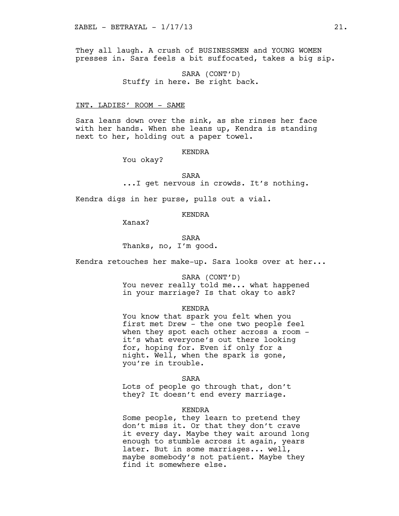They all laugh. A crush of BUSINESSMEN and YOUNG WOMEN presses in. Sara feels a bit suffocated, takes a big sip.

> SARA (CONT'D) Stuffy in here. Be right back.

#### INT. LADIES' ROOM - SAME

Sara leans down over the sink, as she rinses her face with her hands. When she leans up, Kendra is standing next to her, holding out a paper towel.

## KENDRA

You okay?

SARA

```
...I get nervous in crowds. It's nothing.
```
Kendra digs in her purse, pulls out a vial.

## KENDRA

Xanax?

SARA Thanks, no, I'm good.

Kendra retouches her make-up. Sara looks over at her...

SARA (CONT'D)

You never really told me... what happened in your marriage? Is that okay to ask?

#### KENDRA

You know that spark you felt when you first met Drew - the one two people feel when they spot each other across a room it's what everyone's out there looking for, hoping for. Even if only for a night. Well, when the spark is gone, you're in trouble.

SARA

Lots of people go through that, don't they? It doesn't end every marriage.

#### KENDRA

Some people, they learn to pretend they don't miss it. Or that they don't crave it every day. Maybe they wait around long enough to stumble across it again, years later. But in some marriages... well, maybe somebody's not patient. Maybe they find it somewhere else.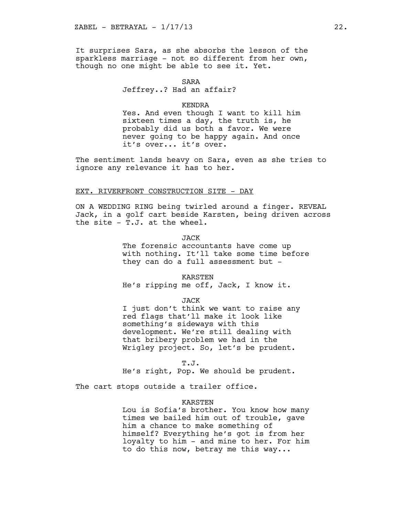It surprises Sara, as she absorbs the lesson of the sparkless marriage - not so different from her own, though no one might be able to see it. Yet.

#### SARA

# Jeffrey..? Had an affair?

#### KENDRA

Yes. And even though I want to kill him sixteen times a day, the truth is, he probably did us both a favor. We were never going to be happy again. And once it's over... it's over.

The sentiment lands heavy on Sara, even as she tries to ignore any relevance it has to her.

## EXT. RIVERFRONT CONSTRUCTION SITE - DAY

ON A WEDDING RING being twirled around a finger. REVEAL Jack, in a golf cart beside Karsten, being driven across the site - T.J. at the wheel.

JACK

The forensic accountants have come up with nothing. It'll take some time before they can do a full assessment but -

KARSTEN

He's ripping me off, Jack, I know it.

JACK

I just don't think we want to raise any red flags that'll make it look like something's sideways with this development. We're still dealing with that bribery problem we had in the Wrigley project. So, let's be prudent.

T.J.

He's right, Pop. We should be prudent.

The cart stops outside a trailer office.

## KARSTEN

Lou is Sofia's brother. You know how many times we bailed him out of trouble, gave him a chance to make something of himself? Everything he's got is from her loyalty to him - and mine to her. For him to do this now, betray me this way...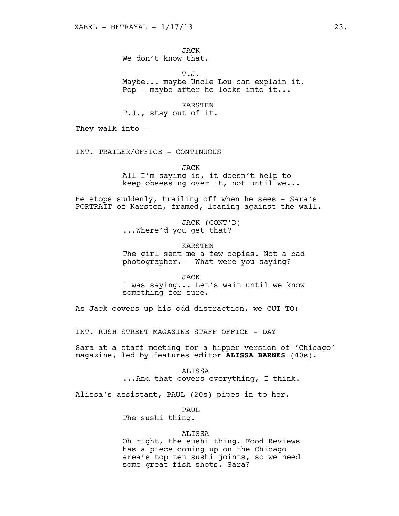JACK We don't know that.

T.J. Maybe... maybe Uncle Lou can explain it, Pop - maybe after he looks into it...

KARSTEN

T.J., stay out of it.

They walk into -

INT. TRAILER/OFFICE - CONTINUOUS

JACK

All I'm saying is, it doesn't help to keep obsessing over it, not until we...

He stops suddenly, trailing off when he sees - Sara's PORTRAIT of Karsten, framed, leaning against the wall.

> JACK (CONT'D) ...Where'd you get that?

> > KARSTEN

The girl sent me a few copies. Not a bad photographer. - What were you saying?

JACK

I was saying... Let's wait until we know something for sure.

As Jack covers up his odd distraction, we CUT TO:

INT. RUSH STREET MAGAZINE STAFF OFFICE - DAY

Sara at a staff meeting for a hipper version of 'Chicago' magazine, led by features editor **ALISSA BARNES** (40s).

> ALISSA ...And that covers everything, I think.

Alissa's assistant, PAUL (20s) pipes in to her.

PAUL

The sushi thing.

# ALISSA

Oh right, the sushi thing. Food Reviews has a piece coming up on the Chicago area's top ten sushi joints, so we need some great fish shots. Sara?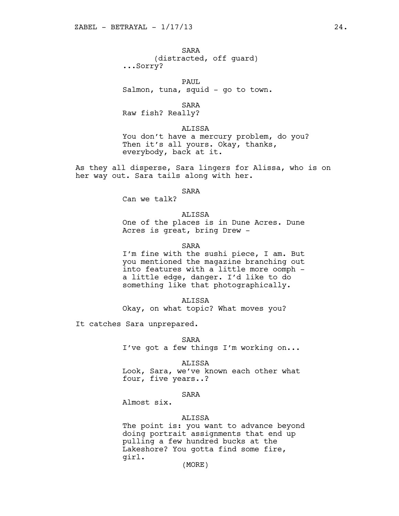SARA (distracted, off guard) ...Sorry?

PAUL Salmon, tuna, squid - go to town.

SARA

Raw fish? Really?

ALISSA

You don't have a mercury problem, do you? Then it's all yours. Okay, thanks, everybody, back at it.

As they all disperse, Sara lingers for Alissa, who is on her way out. Sara tails along with her.

SARA

Can we talk?

# ALISSA

One of the places is in Dune Acres. Dune Acres is great, bring Drew -

SARA

I'm fine with the sushi piece, I am. But you mentioned the magazine branching out into features with a little more oomph a little edge, danger. I'd like to do something like that photographically.

ALISSA

Okay, on what topic? What moves you?

It catches Sara unprepared.

SARA

I've got a few things I'm working on...

ALISSA

Look, Sara, we've known each other what four, five years..?

## SARA

Almost six.

## ALISSA

The point is: you want to advance beyond doing portrait assignments that end up pulling a few hundred bucks at the Lakeshore? You gotta find some fire, girl.

(MORE)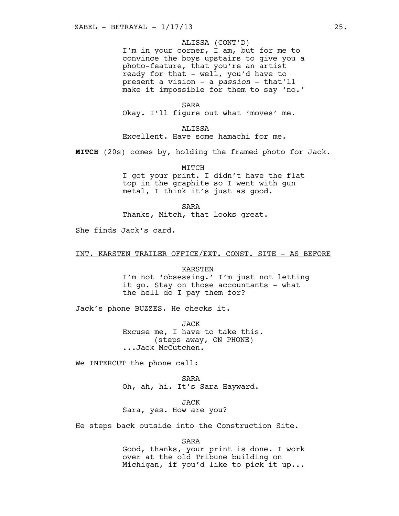## ALISSA (CONT'D)

I'm in your corner, I am, but for me to convince the boys upstairs to give you a photo-feature, that you're an artist ready for that - well, you'd have to present a vision - a *passion* - that'll make it impossible for them to say 'no.'

SARA Okay. I'll figure out what 'moves' me.

ALISSA Excellent. Have some hamachi for me.

**MITCH** (20s) comes by, holding the framed photo for Jack.

MITCH I got your print. I didn't have the flat top in the graphite so I went with gun metal, I think it's just as good.

SARA

Thanks, Mitch, that looks great.

She finds Jack's card.

INT. KARSTEN TRAILER OFFICE/EXT. CONST. SITE - AS BEFORE

KARSTEN I'm not 'obsessing.' I'm just not letting it go. Stay on those accountants - what the hell do I pay them for?

Jack's phone BUZZES. He checks it.

JACK Excuse me, I have to take this. (steps away, ON PHONE) ...Jack McCutchen.

We INTERCUT the phone call:

SARA Oh, ah, hi. It's Sara Hayward.

JACK Sara, yes. How are you?

He steps back outside into the Construction Site.

SARA

Good, thanks, your print is done. I work over at the old Tribune building on Michigan, if you'd like to pick it up...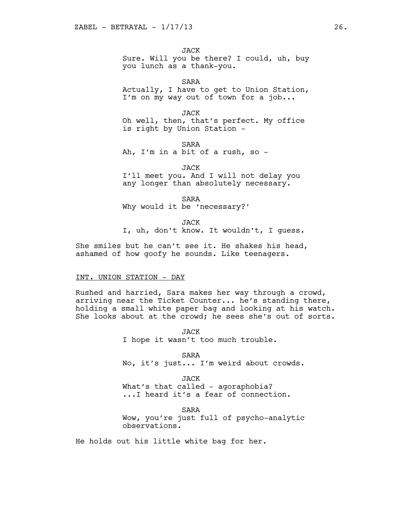JACK Sure. Will you be there? I could, uh, buy you lunch as a thank-you.

SARA Actually, I have to get to Union Station, I'm on my way out of town for a job...

JACK Oh well, then, that's perfect. My office is right by Union Station -

SARA Ah, I'm in a bit of a rush, so -

JACK I'll meet you. And I will not delay you any longer than absolutely necessary.

SARA Why would it be 'necessary?'

JACK

I, uh, don't know. It wouldn't, I guess.

She smiles but he can't see it. He shakes his head, ashamed of how goofy he sounds. Like teenagers.

#### INT. UNION STATION - DAY

Rushed and harried, Sara makes her way through a crowd, arriving near the Ticket Counter... he's standing there, holding a small white paper bag and looking at his watch. She looks about at the crowd; he sees she's out of sorts.

> JACK I hope it wasn't too much trouble.

SARA No, it's just... I'm weird about crowds.

JACK What's that called - agoraphobia? ...I heard it's a fear of connection.

SARA Wow, you're just full of psycho-analytic observations.

He holds out his little white bag for her.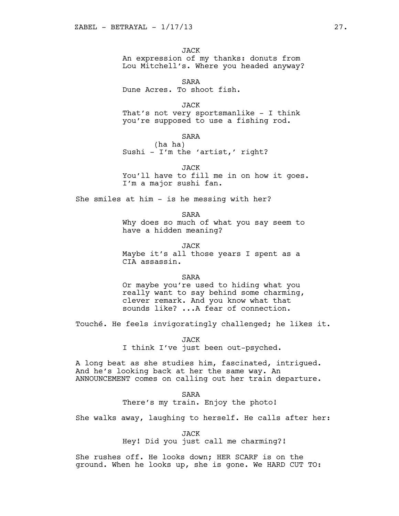JACK An expression of my thanks: donuts from Lou Mitchell's. Where you headed anyway?

SARA Dune Acres. To shoot fish.

JACK That's not very sportsmanlike - I think you're supposed to use a fishing rod.

SARA

(ha ha) Sushi - I'm the 'artist,' right?

JACK

You'll have to fill me in on how it goes. I'm a major sushi fan.

She smiles at him - is he messing with her?

SARA

Why does so much of what you say seem to have a hidden meaning?

JACK Maybe it's all those years I spent as a CIA assassin.

SARA

Or maybe you're used to hiding what you really want to say behind some charming, clever remark. And you know what that sounds like? ...A fear of connection.

Touché. He feels invigoratingly challenged; he likes it.

JACK

I think I've just been out-psyched.

A long beat as she studies him, fascinated, intrigued. And he's looking back at her the same way. An ANNOUNCEMENT comes on calling out her train departure.

SARA

There's my train. Enjoy the photo!

She walks away, laughing to herself. He calls after her:

JACK

Hey! Did you just call me charming?!

She rushes off. He looks down; HER SCARF is on the ground. When he looks up, she is gone. We HARD CUT TO: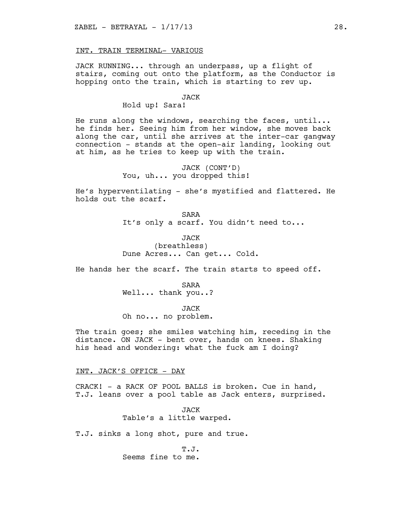## INT. TRAIN TERMINAL- VARIOUS

JACK RUNNING... through an underpass, up a flight of stairs, coming out onto the platform, as the Conductor is hopping onto the train, which is starting to rev up.

#### JACK

Hold up! Sara!

He runs along the windows, searching the faces, until... he finds her. Seeing him from her window, she moves back along the car, until she arrives at the inter-car gangway connection - stands at the open-air landing, looking out at him, as he tries to keep up with the train.

> JACK (CONT'D) You, uh... you dropped this!

He's hyperventilating - she's mystified and flattered. He holds out the scarf.

> SARA It's only a scarf. You didn't need to...

JACK (breathless) Dune Acres... Can get... Cold.

He hands her the scarf. The train starts to speed off.

SARA Well... thank you..?

JACK Oh no... no problem.

The train goes; she smiles watching him, receding in the distance. ON JACK - bent over, hands on knees. Shaking his head and wondering: what the fuck am I doing?

INT. JACK'S OFFICE - DAY

CRACK! - a RACK OF POOL BALLS is broken. Cue in hand, T.J. leans over a pool table as Jack enters, surprised.

> JACK Table's a little warped.

T.J. sinks a long shot, pure and true.

T.J. Seems fine to me.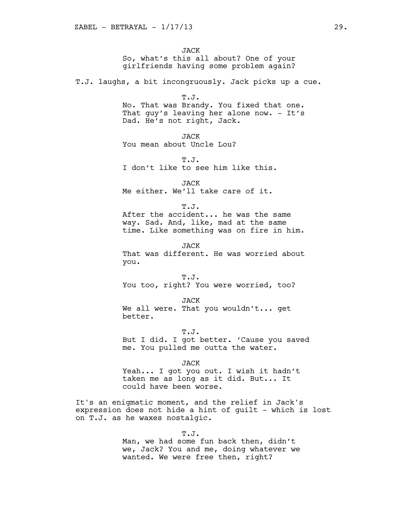JACK So, what's this all about? One of your girlfriends having some problem again?

T.J. laughs, a bit incongruously. Jack picks up a cue.

T.J. No. That was Brandy. You fixed that one. That guy's leaving her alone now. - It's Dad. He's not right, Jack.

JACK You mean about Uncle Lou?

T.J. I don't like to see him like this.

JACK Me either. We'll take care of it.

T.J. After the accident... he was the same way. Sad. And, like, mad at the same time. Like something was on fire in him.

JACK That was different. He was worried about you.

T.J. You too, right? You were worried, too?

JACK We all were. That you wouldn't... get better.

T.J. But I did. I got better. 'Cause you saved me. You pulled me outta the water.

JACK

Yeah... I got you out. I wish it hadn't taken me as long as it did. But... It could have been worse.

It's an enigmatic moment, and the relief in Jack's expression does not hide a hint of guilt - which is lost on T.J. as he waxes nostalgic.

> T.J. Man, we had some fun back then, didn't we, Jack? You and me, doing whatever we wanted. We were free then, right?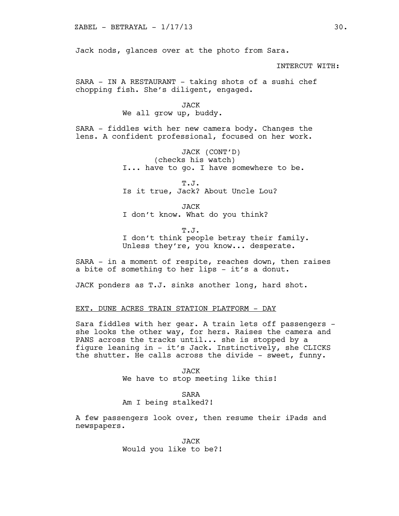Jack nods, glances over at the photo from Sara.

INTERCUT WITH:

SARA - IN A RESTAURANT - taking shots of a sushi chef chopping fish. She's diligent, engaged.

#### JACK

#### We all grow up, buddy.

SARA - fiddles with her new camera body. Changes the lens. A confident professional, focused on her work.

> JACK (CONT'D) (checks his watch) I... have to go. I have somewhere to be.

T.J. Is it true, Jack? About Uncle Lou?

JACK I don't know. What do you think?

T.J. I don't think people betray their family. Unless they're, you know... desperate.

SARA - in a moment of respite, reaches down, then raises a bite of something to her lips - it's a donut.

JACK ponders as T.J. sinks another long, hard shot.

## EXT. DUNE ACRES TRAIN STATION PLATFORM - DAY

Sara fiddles with her gear. A train lets off passengers she looks the other way, for hers. Raises the camera and PANS across the tracks until... she is stopped by a figure leaning in - it's Jack. Instinctively, she CLICKS the shutter. He calls across the divide - sweet, funny.

> JACK We have to stop meeting like this!

#### SARA

# Am I being stalked?!

A few passengers look over, then resume their iPads and newspapers.

> **JACK** Would you like to be?!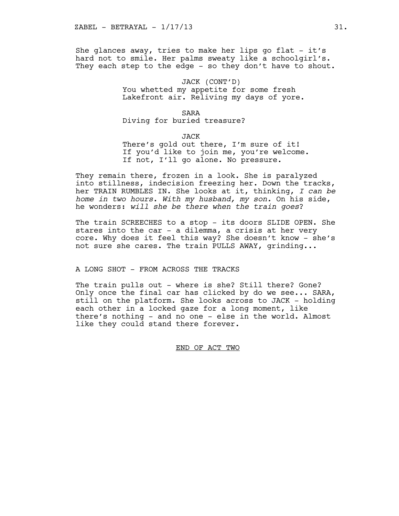She glances away, tries to make her lips go flat  $-$  it's hard not to smile. Her palms sweaty like a schoolgirl's. They each step to the edge - so they don't have to shout.

> JACK (CONT'D) You whetted my appetite for some fresh Lakefront air. Reliving my days of yore.

SARA Diving for buried treasure?

JACK There's gold out there, I'm sure of it! If you'd like to join me, you're welcome. If not, I'll go alone. No pressure.

They remain there, frozen in a look. She is paralyzed into stillness, indecision freezing her. Down the tracks, her TRAIN RUMBLES IN. She looks at it, thinking, *I can be home in two hours*. *With my husband, my son.* On his side, he wonders: *will she be there when the train goes*?

The train SCREECHES to a stop - its doors SLIDE OPEN. She stares into the car - a dilemma, a crisis at her very core. Why does it feel this way? She doesn't know - she's not sure she cares. The train PULLS AWAY, grinding...

A LONG SHOT - FROM ACROSS THE TRACKS

The train pulls out - where is she? Still there? Gone? Only once the final car has clicked by do we see... SARA, still on the platform. She looks across to JACK - holding each other in a locked gaze for a long moment, like there's nothing - and no one - else in the world. Almost like they could stand there forever.

END OF ACT TWO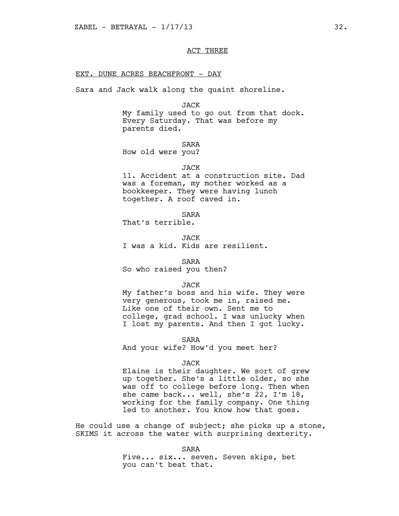## ACT THREE

#### EXT. DUNE ACRES BEACHFRONT - DAY

Sara and Jack walk along the quaint shoreline.

#### JACK

My family used to go out from that dock. Every Saturday. That was before my parents died.

## SARA

How old were you?

#### JACK

11. Accident at a construction site. Dad was a foreman, my mother worked as a bookkeeper. They were having lunch together. A roof caved in.

SARA

That's terrible.

**JACK** I was a kid. Kids are resilient.

#### SARA

So who raised you then?

#### JACK

My father's boss and his wife. They were very generous, took me in, raised me. Like one of their own. Sent me to college, grad school. I was unlucky when I lost my parents. And then I got lucky.

#### SARA

And your wife? How'd you meet her?

#### JACK

Elaine is their daughter. We sort of grew up together. She's a little older, so she was off to college before long. Then when she came back... well, she's 22, I'm 18, working for the family company. One thing led to another. You know how that goes.

He could use a change of subject; she picks up a stone, SKIMS it across the water with surprising dexterity.

SARA

Five... six... seven. Seven skips, bet you can't beat that.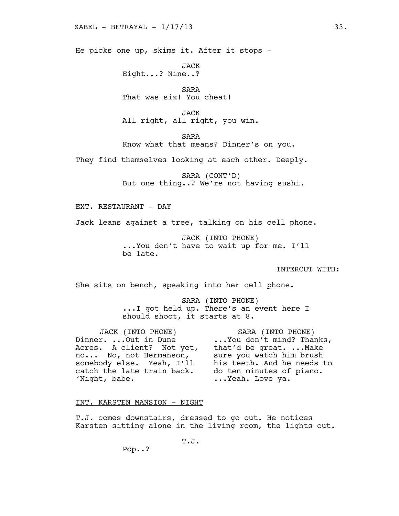He picks one up, skims it. After it stops -

JACK Eight...? Nine..?

SARA That was six! You cheat!

JACK All right, all right, you win.

SARA

Know what that means? Dinner's on you.

They find themselves looking at each other. Deeply.

SARA (CONT'D) But one thing..? We're not having sushi.

## EXT. RESTAURANT - DAY

Jack leans against a tree, talking on his cell phone.

JACK (INTO PHONE) ...You don't have to wait up for me. I'll be late.

INTERCUT WITH:

She sits on bench, speaking into her cell phone.

SARA (INTO PHONE) ...I got held up. There's an event here I should shoot, it starts at 8.

JACK (INTO PHONE) Dinner. ...Out in Dune the second on't mind? Thanks, Acres. A client? Not yet, that'd be great. ...Make no... No, not Hermanson, sure you watch him brush somebody else. Yeah, I'll his teeth. And he needs to catch the late train back. <br>do ten minutes of piano. 'Night, babe.

SARA (INTO PHONE) that'd be great. ...Make sure you watch him brush his teeth. And he needs to do ten minutes of piano. ...Yeah. Love ya.

#### INT. KARSTEN MANSION - NIGHT

T.J. comes downstairs, dressed to go out. He notices Karsten sitting alone in the living room, the lights out.

T.J.

Pop..?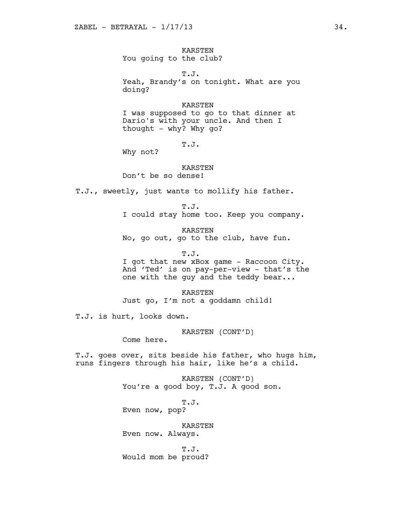KARSTEN You going to the club?

T.J. Yeah, Brandy's on tonight. What are you doing?

#### KARSTEN

I was supposed to go to that dinner at Dario's with your uncle. And then I thought - why? Why go?

T.J.

Why not?

#### KARSTEN

Don't be so dense!

T.J., sweetly, just wants to mollify his father.

T.J. I could stay home too. Keep you company.

KARSTEN No, go out, go to the club, have fun.

T.J.

I got that new xBox game - Raccoon City. And 'Ted' is on pay-per-view - that's the one with the guy and the teddy bear...

KARSTEN Just go, I'm not a goddamn child!

T.J. is hurt, looks down.

KARSTEN (CONT'D)

Come here.

T.J. goes over, sits beside his father, who hugs him, runs fingers through his hair, like he's a child.

> KARSTEN (CONT'D) You're a good boy, T.J. A good son.

T.J. Even now, pop?

KARSTEN Even now. Always.

T.J. Would mom be proud?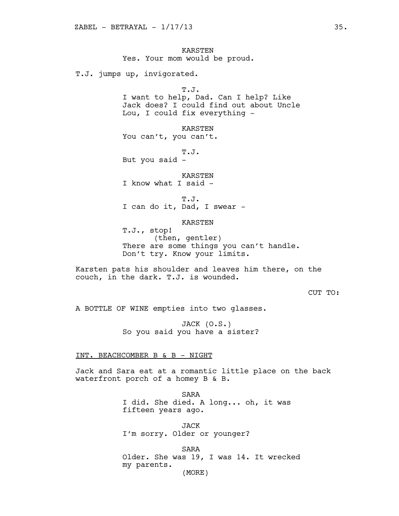KARSTEN Yes. Your mom would be proud.

T.J. jumps up, invigorated.

T.J. I want to help, Dad. Can I help? Like Jack does? I could find out about Uncle Lou, I could fix everything -

KARSTEN You can't, you can't.

T.J. But you said -

KARSTEN

I know what I said -

T.J. I can do it, Dad, I swear -

KARSTEN

T.J., stop! (then, gentler) There are some things you can't handle. Don't try. Know your limits.

Karsten pats his shoulder and leaves him there, on the couch, in the dark. T.J. is wounded.

CUT TO:

A BOTTLE OF WINE empties into two glasses.

JACK (O.S.) So you said you have a sister?

#### INT. BEACHCOMBER B & B - NIGHT

Jack and Sara eat at a romantic little place on the back waterfront porch of a homey B & B.

> SARA I did. She died. A long... oh, it was fifteen years ago.

JACK I'm sorry. Older or younger?

SARA Older. She was 19, I was 14. It wrecked my parents. (MORE)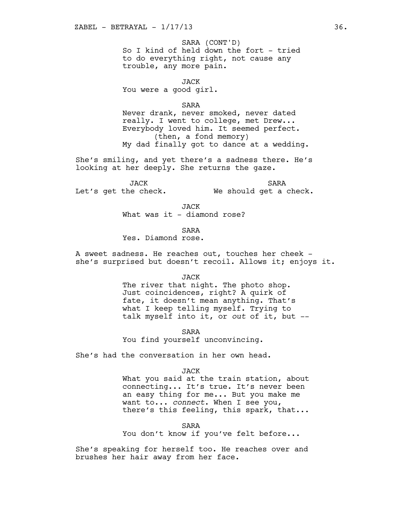## SARA (CONT'D)

So I kind of held down the fort - tried to do everything right, not cause any trouble, any more pain.

JACK You were a good girl.

SARA

Never drank, never smoked, never dated really. I went to college, met Drew... Everybody loved him. It seemed perfect. (then, a fond memory) My dad finally got to dance at a wedding.

She's smiling, and yet there's a sadness there. He's looking at her deeply. She returns the gaze.

JACK Let's get the check. SARA We should get a check.

> JACK What was it  $-$  diamond rose?

> > SARA

Yes. Diamond rose.

A sweet sadness. He reaches out, touches her cheek she's surprised but doesn't recoil. Allows it; enjoys it.

JACK

The river that night. The photo shop. Just coincidences, right? A quirk of fate, it doesn't mean anything. That's what I keep telling myself. Trying to talk myself into it, or *out* of it, but --

SARA

You find yourself unconvincing.

She's had the conversation in her own head.

#### JACK

What you said at the train station, about connecting... It's true. It's never been an easy thing for me... But you make me want to... *connect*. When I see you, there's this feeling, this spark, that...

SARA

You don't know if you've felt before...

She's speaking for herself too. He reaches over and brushes her hair away from her face.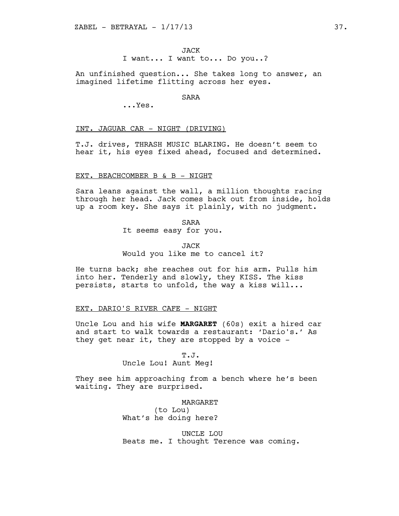An unfinished question... She takes long to answer, an imagined lifetime flitting across her eyes.

# SARA

...Yes.

## INT. JAGUAR CAR - NIGHT (DRIVING)

T.J. drives, THRASH MUSIC BLARING. He doesn't seem to hear it, his eyes fixed ahead, focused and determined.

## EXT. BEACHCOMBER B & B - NIGHT

Sara leans against the wall, a million thoughts racing through her head. Jack comes back out from inside, holds up a room key. She says it plainly, with no judgment.

SARA

It seems easy for you.

JACK Would you like me to cancel it?

He turns back; she reaches out for his arm. Pulls him into her. Tenderly and slowly, they KISS. The kiss persists, starts to unfold, the way a kiss will...

## EXT. DARIO'S RIVER CAFE - NIGHT

Uncle Lou and his wife **MARGARET** (60s) exit a hired car and start to walk towards a restaurant: 'Dario's.' As they get near it, they are stopped by a voice -

T.J.

Uncle Lou! Aunt Meg!

They see him approaching from a bench where he's been waiting. They are surprised.

> MARGARET (to Lou) What's he doing here?

UNCLE LOU Beats me. I thought Terence was coming.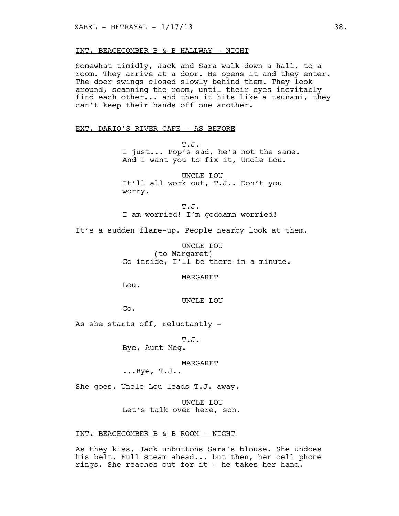## INT. BEACHCOMBER B & B HALLWAY - NIGHT

Somewhat timidly, Jack and Sara walk down a hall, to a room. They arrive at a door. He opens it and they enter. The door swings closed slowly behind them. They look around, scanning the room, until their eyes inevitably find each other... and then it hits like a tsunami, they can't keep their hands off one another.

# EXT. DARIO'S RIVER CAFE - AS BEFORE

T.J. I just... Pop's sad, he's not the same. And I want you to fix it, Uncle Lou.

UNCLE LOU It'll all work out, T.J.. Don't you worry.

T.J. I am worried! I'm goddamn worried!

It's a sudden flare-up. People nearby look at them.

UNCLE LOU (to Margaret) Go inside, I'll be there in a minute.

**MARGARET** 

Lou.

UNCLE LOU

Go.

As she starts off, reluctantly -

T.J.

Bye, Aunt Meg.

MARGARET

...Bye, T.J..

She goes. Uncle Lou leads T.J. away.

UNCLE LOU Let's talk over here, son.

## INT. BEACHCOMBER B & B ROOM - NIGHT

As they kiss, Jack unbuttons Sara's blouse. She undoes his belt. Full steam ahead... but then, her cell phone rings. She reaches out for it - he takes her hand.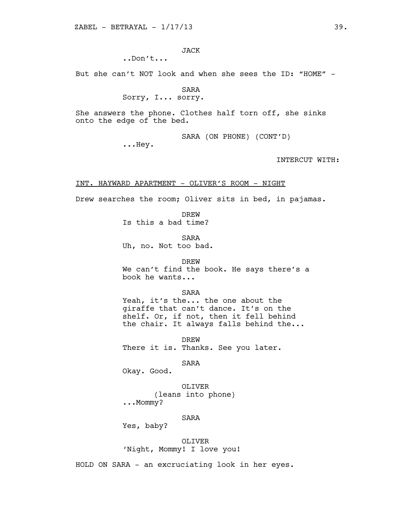JACK

..Don't...

But she can't NOT look and when she sees the ID: "HOME" -

SARA Sorry, I... sorry.

She answers the phone. Clothes half torn off, she sinks onto the edge of the bed.

SARA (ON PHONE) (CONT'D)

...Hey.

INTERCUT WITH:

#### INT. HAYWARD APARTMENT - OLIVER'S ROOM - NIGHT

Drew searches the room; Oliver sits in bed, in pajamas.

DREW Is this a bad time?

SARA Uh, no. Not too bad.

DREW We can't find the book. He says there's a book he wants...

SARA Yeah, it's the... the one about the giraffe that can't dance. It's on the shelf. Or, if not, then it fell behind the chair. It always falls behind the...

DREW There it is. Thanks. See you later.

SARA

Okay. Good.

OLIVER (leans into phone) ...Mommy?

SARA

Yes, baby?

OLIVER 'Night, Mommy! I love you!

HOLD ON SARA - an excruciating look in her eyes.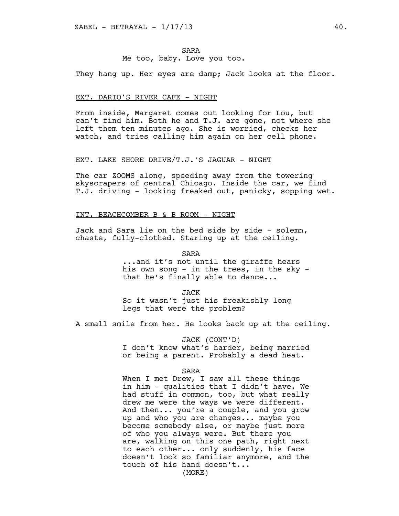SARA Me too, baby. Love you too.

They hang up. Her eyes are damp; Jack looks at the floor.

#### EXT. DARIO'S RIVER CAFE - NIGHT

From inside, Margaret comes out looking for Lou, but can't find him. Both he and T.J. are gone, not where she left them ten minutes ago. She is worried, checks her watch, and tries calling him again on her cell phone.

#### EXT. LAKE SHORE DRIVE/T.J.'S JAGUAR - NIGHT

The car ZOOMS along, speeding away from the towering skyscrapers of central Chicago. Inside the car, we find T.J. driving - looking freaked out, panicky, sopping wet.

## INT. BEACHCOMBER B & B ROOM - NIGHT

Jack and Sara lie on the bed side by side - solemn, chaste, fully-clothed. Staring up at the ceiling.

> SARA ...and it's not until the giraffe hears his own song - in the trees, in the sky that he's finally able to dance...

JACK So it wasn't just his freakishly long legs that were the problem?

A small smile from her. He looks back up at the ceiling.

JACK (CONT'D) I don't know what's harder, being married or being a parent. Probably a dead heat.

#### SARA

When I met Drew, I saw all these things in him - qualities that I didn't have. We had stuff in common, too, but what really drew me were the ways we were different. And then... you're a couple, and you grow up and who you are changes... maybe you become somebody else, or maybe just more of who you always were. But there you are, walking on this one path, right next to each other... only suddenly, his face doesn't look so familiar anymore, and the touch of his hand doesn't...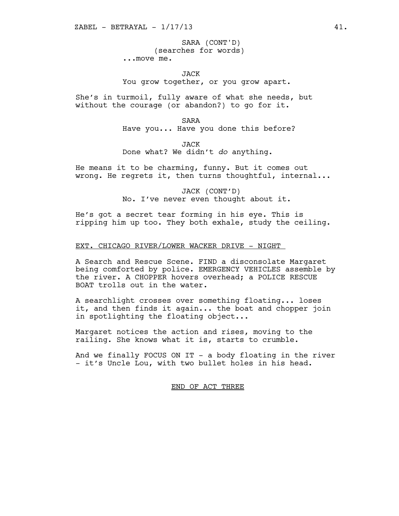(searches for words) ...move me. SARA (CONT'D)

JACK

You grow together, or you grow apart.

She's in turmoil, fully aware of what she needs, but without the courage (or abandon?) to go for it.

SARA

Have you... Have you done this before?

JACK Done what? We didn't *do* anything.

He means it to be charming, funny. But it comes out wrong. He regrets it, then turns thoughtful, internal...

> JACK (CONT'D) No. I've never even thought about it.

He's got a secret tear forming in his eye. This is ripping him up too. They both exhale, study the ceiling.

## EXT. CHICAGO RIVER/LOWER WACKER DRIVE - NIGHT

A Search and Rescue Scene. FIND a disconsolate Margaret being comforted by police. EMERGENCY VEHICLES assemble by the river. A CHOPPER hovers overhead; a POLICE RESCUE BOAT trolls out in the water.

A searchlight crosses over something floating... loses it, and then finds it again... the boat and chopper join in spotlighting the floating object...

Margaret notices the action and rises, moving to the railing. She knows what it is, starts to crumble.

And we finally FOCUS ON IT - a body floating in the river - it's Uncle Lou, with two bullet holes in his head.

# END OF ACT THREE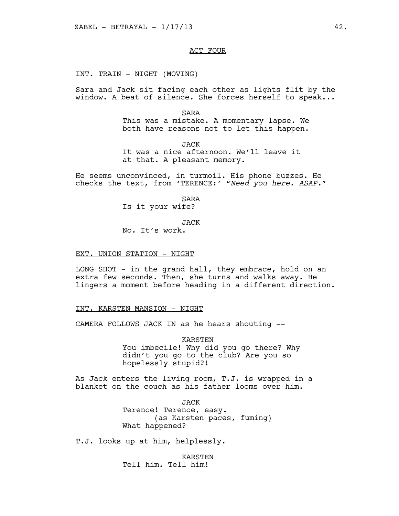ACT FOUR

#### INT. TRAIN - NIGHT (MOVING)

Sara and Jack sit facing each other as lights flit by the window. A beat of silence. She forces herself to speak...

SARA

This was a mistake. A momentary lapse. We both have reasons not to let this happen.

JACK It was a nice afternoon. We'll leave it at that. A pleasant memory.

He seems unconvinced, in turmoil. His phone buzzes. He checks the text, from 'TERENCE:' *"Need you here. ASAP."*

> SARA Is it your wife?

> > JACK

No. It's work.

## EXT. UNION STATION - NIGHT

LONG SHOT - in the grand hall, they embrace, hold on an extra few seconds. Then, she turns and walks away. He lingers a moment before heading in a different direction.

## INT. KARSTEN MANSION - NIGHT

CAMERA FOLLOWS JACK IN as he hears shouting --

KARSTEN You imbecile! Why did you go there? Why didn't you go to the club? Are you so hopelessly stupid?!

As Jack enters the living room, T.J. is wrapped in a blanket on the couch as his father looms over him.

> JACK Terence! Terence, easy. (as Karsten paces, fuming) What happened?

T.J. looks up at him, helplessly.

KARSTEN Tell him. Tell him!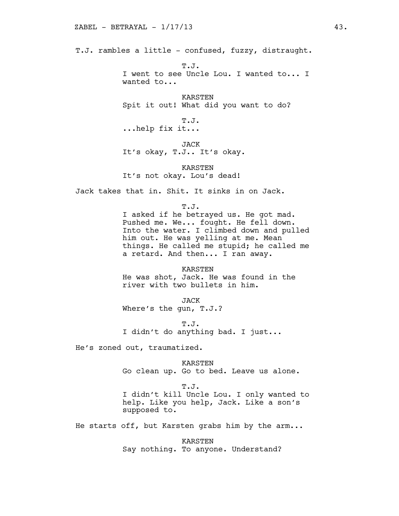T.J. rambles a little - confused, fuzzy, distraught.

T.J. I went to see Uncle Lou. I wanted to... I wanted to...

KARSTEN Spit it out! What did you want to do?

T.J. ...help fix it...

JACK It's okay, T.J.. It's okay.

KARSTEN It's not okay. Lou's dead!

Jack takes that in. Shit. It sinks in on Jack.

T.J. I asked if he betrayed us. He got mad. Pushed me. We... fought. He fell down. Into the water. I climbed down and pulled him out. He was yelling at me. Mean things. He called me stupid; he called me a retard. And then... I ran away.

KARSTEN He was shot, Jack. He was found in the river with two bullets in him.

JACK Where's the gun, T.J.?

T.J. I didn't do anything bad. I just...

He's zoned out, traumatized.

KARSTEN Go clean up. Go to bed. Leave us alone.

T.J. I didn't kill Uncle Lou. I only wanted to help. Like you help, Jack. Like a son's supposed to.

He starts off, but Karsten grabs him by the arm...

KARSTEN Say nothing. To anyone. Understand?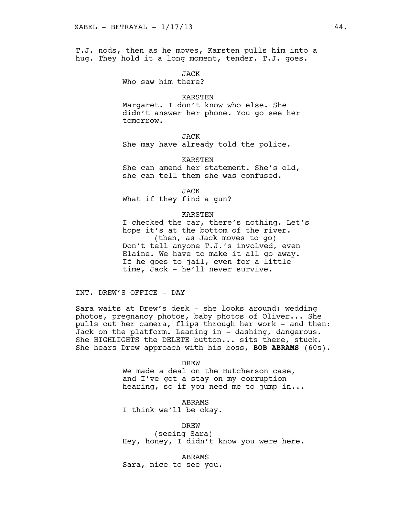T.J. nods, then as he moves, Karsten pulls him into a hug. They hold it a long moment, tender. T.J. goes.

JACK

Who saw him there?

#### KARSTEN

Margaret. I don't know who else. She didn't answer her phone. You go see her tomorrow.

JACK

She may have already told the police.

KARSTEN She can amend her statement. She's old,

she can tell them she was confused.

JACK

What if they find a gun?

## KARSTEN

I checked the car, there's nothing. Let's hope it's at the bottom of the river. (then, as Jack moves to go) Don't tell anyone T.J.'s involved, even Elaine. We have to make it all go away. If he goes to jail, even for a little time, Jack - he'll never survive.

#### INT. DREW'S OFFICE - DAY

Sara waits at Drew's desk - she looks around: wedding photos, pregnancy photos, baby photos of Oliver... She pulls out her camera, flips through her work - and then: Jack on the platform. Leaning in - dashing, dangerous. She HIGHLIGHTS the DELETE button... sits there, stuck. She hears Drew approach with his boss, **BOB ABRAMS** (60s).

#### DREW

We made a deal on the Hutcherson case, and I've got a stay on my corruption hearing, so if you need me to jump in...

ABRAMS I think we'll be okay.

DREW

(seeing Sara) Hey, honey, I didn't know you were here.

ABRAMS Sara, nice to see you.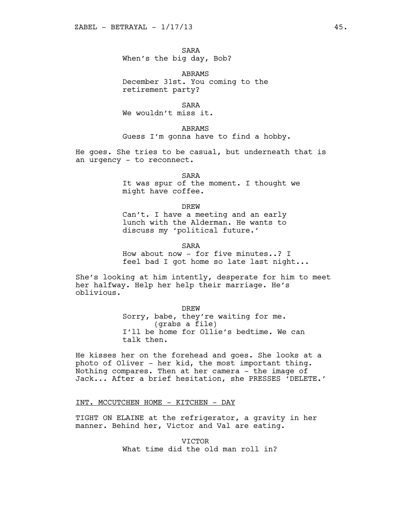SARA When's the big day, Bob?

ABRAMS December 31st. You coming to the retirement party?

SARA

We wouldn't miss it.

ABRAMS

Guess I'm gonna have to find a hobby.

He goes. She tries to be casual, but underneath that is an urgency - to reconnect.

> SARA It was spur of the moment. I thought we might have coffee.

> > DREW

Can't. I have a meeting and an early lunch with the Alderman. He wants to discuss my 'political future.'

SARA

How about now - for five minutes..? I feel bad I got home so late last night...

She's looking at him intently, desperate for him to meet her halfway. Help her help their marriage. He's oblivious.

> **DREW** Sorry, babe, they're waiting for me. (grabs a file) I'll be home for Ollie's bedtime. We can talk then.

He kisses her on the forehead and goes. She looks at a photo of Oliver - her kid, the most important thing. Nothing compares. Then at her camera - the image of Jack... After a brief hesitation, she PRESSES 'DELETE.'

INT. MCCUTCHEN HOME - KITCHEN - DAY

TIGHT ON ELAINE at the refrigerator, a gravity in her manner. Behind her, Victor and Val are eating.

> VICTOR What time did the old man roll in?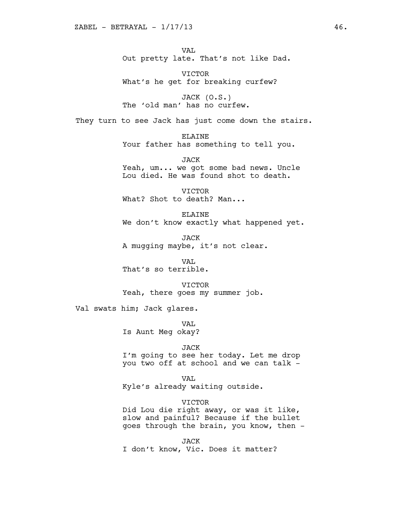VAL Out pretty late. That's not like Dad.

VICTOR What's he get for breaking curfew?

JACK (O.S.) The 'old man' has no curfew.

They turn to see Jack has just come down the stairs.

ELAINE Your father has something to tell you.

JACK Yeah, um... we got some bad news. Uncle Lou died. He was found shot to death.

VICTOR What? Shot to death? Man...

ELAINE We don't know exactly what happened yet.

JACK A mugging maybe, it's not clear.

VA<sub>L</sub> That's so terrible.

VICTOR

Yeah, there goes my summer job.

Val swats him; Jack glares.

VA<sub>L</sub> Is Aunt Meg okay?

# JACK

I'm going to see her today. Let me drop you two off at school and we can talk -

VAL Kyle's already waiting outside.

VICTOR Did Lou die right away, or was it like, slow and painful? Because if the bullet goes through the brain, you know, then -

JACK I don't know, Vic. Does it matter?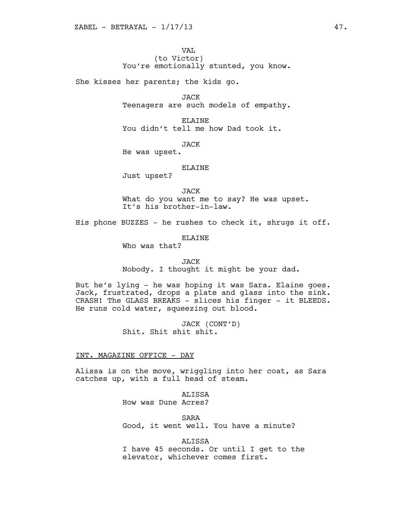# VAL (to Victor) You're emotionally stunted, you know.

She kisses her parents; the kids go.

JACK Teenagers are such models of empathy.

ELAINE You didn't tell me how Dad took it.

JACK

He was upset.

## ELAINE

Just upset?

JACK

What do you want me to say? He was upset. It's his brother-in-law.

His phone BUZZES - he rushes to check it, shrugs it off.

# ELAINE

Who was that?

# JACK Nobody. I thought it might be your dad.

But he's lying - he was hoping it was Sara. Elaine goes. Jack, frustrated, drops a plate and glass into the sink. CRASH! The GLASS BREAKS - slices his finger - it BLEEDS. He runs cold water, squeezing out blood.

> JACK (CONT'D) Shit. Shit shit shit.

## INT. MAGAZINE OFFICE - DAY

Alissa is on the move, wriggling into her coat, as Sara catches up, with a full head of steam.

> ALISSA How was Dune Acres?

SARA Good, it went well. You have a minute?

ALISSA I have 45 seconds. Or until I get to the elevator, whichever comes first.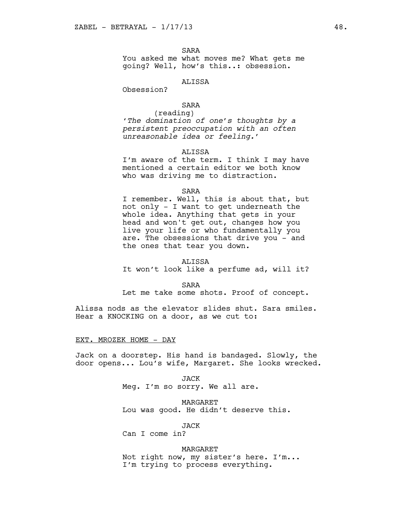SARA

You asked me what moves me? What gets me going? Well, how's this..: obsession.

# ALISSA

Obsession?

# SARA

(reading) *'The domination of one's thoughts by a persistent preoccupation with an often unreasonable idea or feeling.'* 

## ALISSA

I'm aware of the term. I think I may have mentioned a certain editor we both know who was driving me to distraction.

#### SARA

I remember. Well, this is about that, but not only - I want to get underneath the whole idea. Anything that gets in your head and won't get out, changes how you live your life or who fundamentally you are. The obsessions that drive you - and the ones that tear you down.

# ALISSA

It won't look like a perfume ad, will it?

#### SARA

Let me take some shots. Proof of concept.

Alissa nods as the elevator slides shut. Sara smiles. Hear a KNOCKING on a door, as we cut to:

## EXT. MROZEK HOME - DAY

Jack on a doorstep. His hand is bandaged. Slowly, the door opens... Lou's wife, Margaret. She looks wrecked.

> JACK Meg. I'm so sorry. We all are.

MARGARET Lou was good. He didn't deserve this.

JACK

Can I come in?

#### MARGARET

Not right now, my sister's here. I'm... I'm trying to process everything.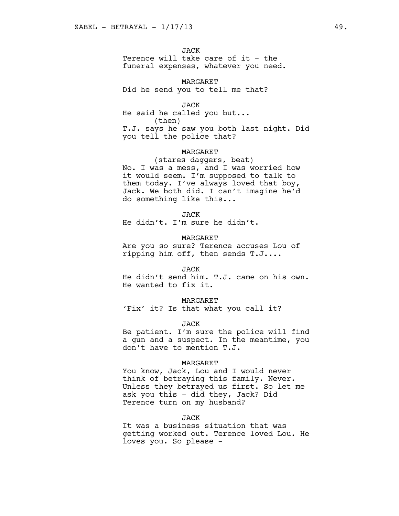JACK

Terence will take care of it - the funeral expenses, whatever you need.

MARGARET Did he send you to tell me that?

JACK He said he called you but... (then) T.J. says he saw you both last night. Did you tell the police that?

#### MARGARET

(stares daggers, beat) No. I was a mess, and I was worried how it would seem. I'm supposed to talk to them today. I've always loved that boy, Jack. We both did. I can't imagine he'd do something like this...

JACK

He didn't. I'm sure he didn't.

MARGARET

Are you so sure? Terence accuses Lou of ripping him off, then sends T.J....

#### JACK

He didn't send him. T.J. came on his own. He wanted to fix it.

#### MARGARET

'Fix' it? Is that what you call it?

#### JACK

Be patient. I'm sure the police will find a gun and a suspect. In the meantime, you don't have to mention T.J.

#### MARGARET

You know, Jack, Lou and I would never think of betraying this family. Never. Unless they betrayed us first. So let me ask you this - did they, Jack? Did Terence turn on my husband?

## JACK

It was a business situation that was getting worked out. Terence loved Lou. He loves you. So please -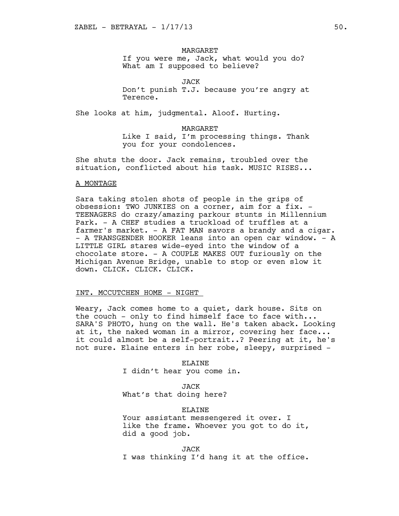## **MARGARET**

If you were me, Jack, what would you do? What am I supposed to believe?

JACK

Don't punish T.J. because you're angry at Terence.

She looks at him, judgmental. Aloof. Hurting.

#### MARGARET

Like I said, I'm processing things. Thank you for your condolences.

She shuts the door. Jack remains, troubled over the situation, conflicted about his task. MUSIC RISES...

#### A MONTAGE

Sara taking stolen shots of people in the grips of obsession: TWO JUNKIES on a corner, aim for a fix. - TEENAGERS do crazy/amazing parkour stunts in Millennium Park. - A CHEF studies a truckload of truffles at a farmer's market. - A FAT MAN savors a brandy and a cigar. - A TRANSGENDER HOOKER leans into an open car window. - A LITTLE GIRL stares wide-eyed into the window of a chocolate store. - A COUPLE MAKES OUT furiously on the Michigan Avenue Bridge, unable to stop or even slow it down. CLICK. CLICK. CLICK.

#### INT. MCCUTCHEN HOME - NIGHT

Weary, Jack comes home to a quiet, dark house. Sits on the couch - only to find himself face to face with... SARA'S PHOTO, hung on the wall. He's taken aback. Looking at it, the naked woman in a mirror, covering her face... it could almost be a self-portrait..? Peering at it, he's not sure. Elaine enters in her robe, sleepy, surprised -

#### ELAINE

I didn't hear you come in.

JACK What's that doing here?

## ELAINE

Your assistant messengered it over. I like the frame. Whoever you got to do it, did a good job.

JACK I was thinking I'd hang it at the office.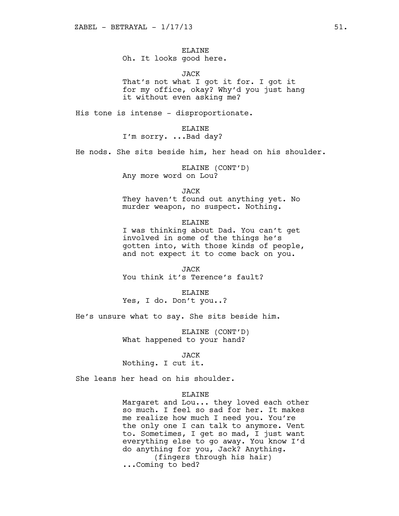# ELAINE

# Oh. It looks good here.

JACK

That's not what I got it for. I got it for my office, okay? Why'd you just hang it without even asking me?

His tone is intense - disproportionate.

ELAINE I'm sorry. ...Bad day?

He nods. She sits beside him, her head on his shoulder.

ELAINE (CONT'D) Any more word on Lou?

JACK

They haven't found out anything yet. No murder weapon, no suspect. Nothing.

#### ELAINE

I was thinking about Dad. You can't get involved in some of the things he's gotten into, with those kinds of people, and not expect it to come back on you.

JACK You think it's Terence's fault?

**ELAINE** Yes, I do. Don't you..?

He's unsure what to say. She sits beside him.

ELAINE (CONT'D) What happened to your hand?

JACK

Nothing. I cut it.

She leans her head on his shoulder.

#### ELAINE

Margaret and Lou... they loved each other so much. I feel so sad for her. It makes me realize how much I need you. You're the only one I can talk to anymore. Vent to. Sometimes, I get so mad, I just want everything else to go away. You know I'd do anything for you, Jack? Anything. (fingers through his hair) ...Coming to bed?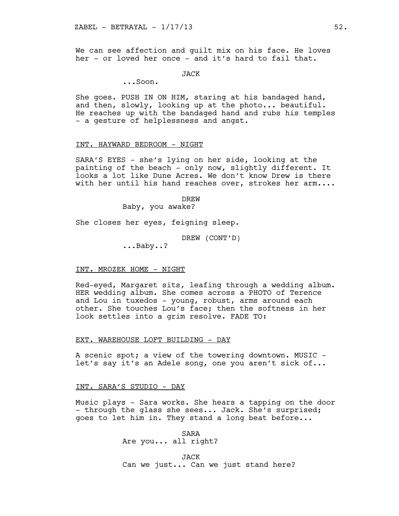We can see affection and guilt mix on his face. He loves her - or loved her once - and it's hard to fail that.

## JACK

...Soon.

She goes. PUSH IN ON HIM, staring at his bandaged hand, and then, slowly, looking up at the photo... beautiful. He reaches up with the bandaged hand and rubs his temples - a gesture of helplessness and angst.

#### INT. HAYWARD BEDROOM - NIGHT

SARA'S EYES - she's lying on her side, looking at the painting of the beach - only now, slightly different. It looks a lot like Dune Acres. We don't know Drew is there with her until his hand reaches over, strokes her arm....

> DREW Baby, you awake?

She closes her eyes, feigning sleep.

DREW (CONT'D)

...Baby..?

#### INT. MROZEK HOME - NIGHT

Red-eyed, Margaret sits, leafing through a wedding album. HER wedding album. She comes across a PHOTO of Terence and Lou in tuxedos - young, robust, arms around each other. She touches Lou's face; then the softness in her look settles into a grim resolve. FADE TO:

## EXT. WAREHOUSE LOFT BUILDING - DAY

A scenic spot; a view of the towering downtown. MUSIC let's say it's an Adele song, one you aren't sick of...

## INT. SARA'S STUDIO - DAY

Music plays - Sara works. She hears a tapping on the door - through the glass she sees... Jack. She's surprised; goes to let him in. They stand a long beat before...

> SARA Are you... all right?

JACK Can we just... Can we just stand here?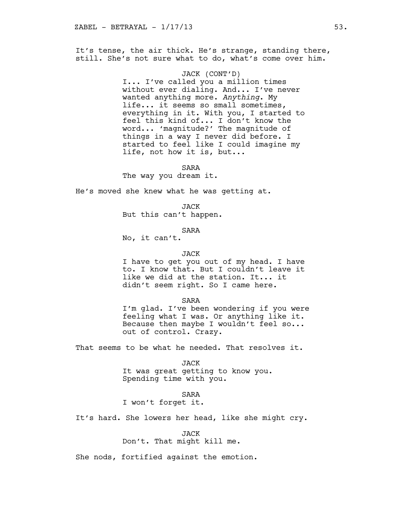It's tense, the air thick. He's strange, standing there, still. She's not sure what to do, what's come over him.

#### JACK (CONT'D)

I... I've called you a million times without ever dialing. And... I've never wanted anything more. *Anything*. My life... it seems so small sometimes, everything in it. With you, I started to feel this kind of... I don't know the word... 'magnitude?' The magnitude of things in a way I never did before. I started to feel like I could imagine my life, not how it is, but...

SARA

The way you dream it.

He's moved she knew what he was getting at.

JACK

But this can't happen.

SARA

No, it can't.

#### JACK

I have to get you out of my head. I have to. I know that. But I couldn't leave it like we did at the station. It... it didn't seem right. So I came here.

SARA

I'm glad. I've been wondering if you were feeling what I was. Or anything like it. Because then maybe I wouldn't feel so... out of control. Crazy.

That seems to be what he needed. That resolves it.

JACK It was great getting to know you. Spending time with you.

SARA

I won't forget it.

It's hard. She lowers her head, like she might cry.

JACK

Don't. That might kill me.

She nods, fortified against the emotion.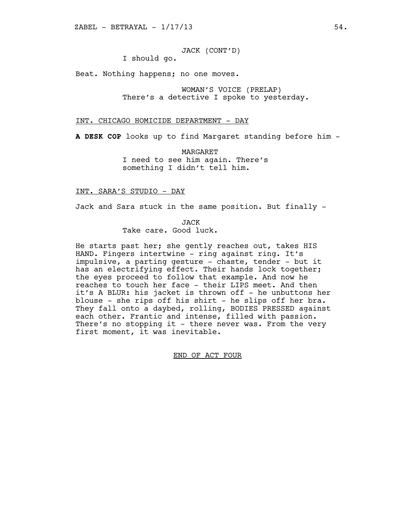JACK (CONT'D) I should go.

Beat. Nothing happens; no one moves.

WOMAN'S VOICE (PRELAP) There's a detective I spoke to yesterday.

INT. CHICAGO HOMICIDE DEPARTMENT - DAY

**A DESK COP** looks up to find Margaret standing before him -

MARGARET I need to see him again. There's something I didn't tell him.

## INT. SARA'S STUDIO - DAY

Jack and Sara stuck in the same position. But finally -

JACK Take care. Good luck.

He starts past her; she gently reaches out, takes HIS HAND. Fingers intertwine - ring against ring. It's impulsive, a parting gesture - chaste, tender - but it has an electrifying effect. Their hands lock together; the eyes proceed to follow that example. And now he reaches to touch her face - their LIPS meet. And then it's A BLUR: his jacket is thrown off - he unbuttons her blouse - she rips off his shirt - he slips off her bra. They fall onto a daybed, rolling, BODIES PRESSED against each other. Frantic and intense, filled with passion. There's no stopping it - there never was. From the very first moment, it was inevitable.

END OF ACT FOUR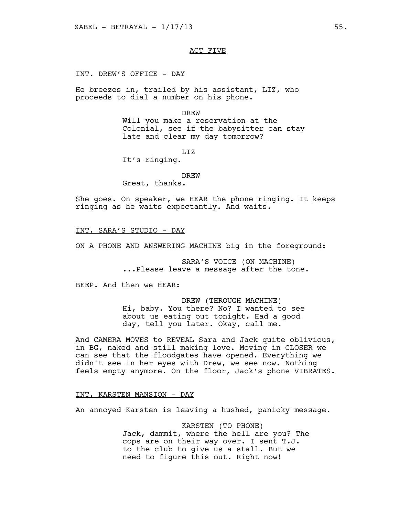ACT FIVE

#### INT. DREW'S OFFICE - DAY

He breezes in, trailed by his assistant, LIZ, who proceeds to dial a number on his phone.

#### DREW

Will you make a reservation at the Colonial, see if the babysitter can stay late and clear my day tomorrow?

## LIZ

It's ringing.

#### DREW

Great, thanks.

She goes. On speaker, we HEAR the phone ringing. It keeps ringing as he waits expectantly. And waits.

#### INT. SARA'S STUDIO - DAY

ON A PHONE AND ANSWERING MACHINE big in the foreground:

SARA'S VOICE (ON MACHINE) ...Please leave a message after the tone.

BEEP. And then we HEAR:

DREW (THROUGH MACHINE) Hi, baby. You there? No? I wanted to see about us eating out tonight. Had a good day, tell you later. Okay, call me.

And CAMERA MOVES to REVEAL Sara and Jack quite oblivious, in BG, naked and still making love. Moving in CLOSER we can see that the floodgates have opened. Everything we didn't see in her eyes with Drew, we see now. Nothing feels empty anymore. On the floor, Jack's phone VIBRATES.

## INT. KARSTEN MANSION - DAY

An annoyed Karsten is leaving a hushed, panicky message.

KARSTEN (TO PHONE) Jack, dammit, where the hell are you? The cops are on their way over. I sent T.J. to the club to give us a stall. But we need to figure this out. Right now!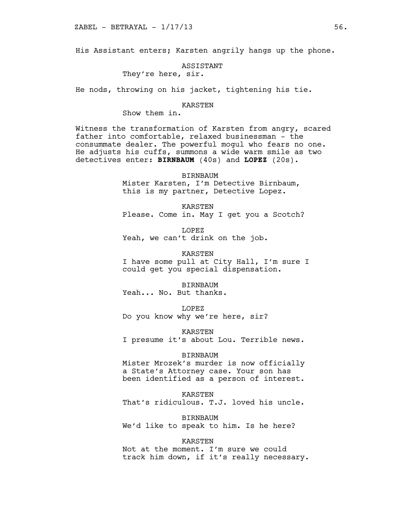His Assistant enters; Karsten angrily hangs up the phone.

ASSISTANT

They're here, sir.

He nods, throwing on his jacket, tightening his tie.

#### KARSTEN

Show them in.

Witness the transformation of Karsten from angry, scared father into comfortable, relaxed businessman - the consummate dealer. The powerful mogul who fears no one. He adjusts his cuffs, summons a wide warm smile as two detectives enter: **BIRNBAUM** (40s) and **LOPEZ** (20s).

> BIRNBAUM Mister Karsten, I'm Detective Birnbaum, this is my partner, Detective Lopez.

KARSTEN Please. Come in. May I get you a Scotch?

LOPEZ Yeah, we can't drink on the job.

KARSTEN I have some pull at City Hall, I'm sure I could get you special dispensation.

BIRNBAUM Yeah... No. But thanks.

LOPEZ

Do you know why we're here, sir?

KARSTEN I presume it's about Lou. Terrible news.

#### BIRNBAUM

Mister Mrozek's murder is now officially a State's Attorney case. Your son has been identified as a person of interest.

KARSTEN

That's ridiculous. T.J. loved his uncle.

BIRNBAUM We'd like to speak to him. Is he here?

KARSTEN

Not at the moment. I'm sure we could track him down, if it's really necessary.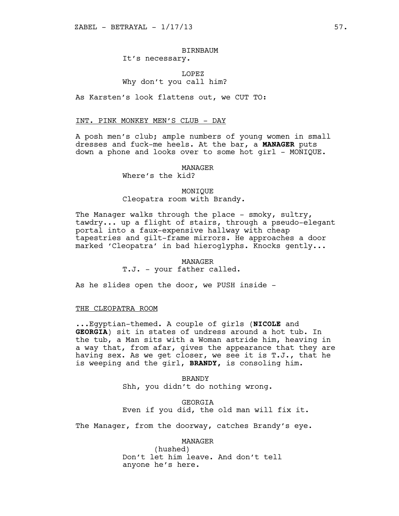## BIRNBAUM It's necessary.

# LOPEZ Why don't you call him?

As Karsten's look flattens out, we CUT TO:

#### INT. PINK MONKEY MEN'S CLUB - DAY

A posh men's club; ample numbers of young women in small dresses and fuck-me heels. At the bar, a **MANAGER** puts down a phone and looks over to some hot girl - MONIQUE.

#### MANAGER

# Where's the kid?

## MONIQUE Cleopatra room with Brandy.

The Manager walks through the place - smoky, sultry, tawdry... up a flight of stairs, through a pseudo-elegant portal into a faux-expensive hallway with cheap tapestries and gilt-frame mirrors. He approaches a door marked 'Cleopatra' in bad hieroglyphs. Knocks gently...

## MANAGER

## T.J. - your father called.

As he slides open the door, we PUSH inside -

## THE CLEOPATRA ROOM

...Egyptian-themed. A couple of girls (**NICOLE** and **GEORGIA**) sit in states of undress around a hot tub. In the tub, a Man sits with a Woman astride him, heaving in a way that, from afar, gives the appearance that they are having sex. As we get closer, we see it is T.J., that he is weeping and the girl, **BRANDY,** is consoling him.

> BRANDY Shh, you didn't do nothing wrong.

GEORGIA Even if you did, the old man will fix it.

The Manager, from the doorway, catches Brandy's eye.

## MANAGER

(hushed) Don't let him leave. And don't tell anyone he's here.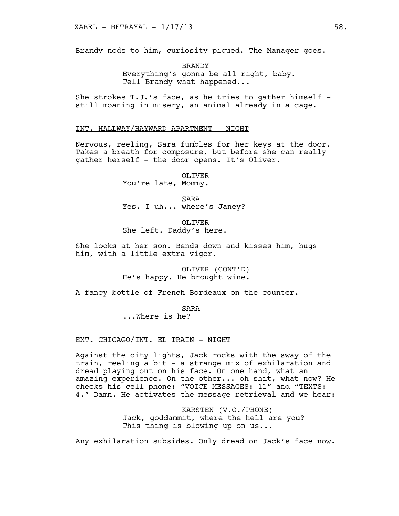Brandy nods to him, curiosity piqued. The Manager goes.

BRANDY Everything's gonna be all right, baby. Tell Brandy what happened...

She strokes  $T.J.'s$  face, as he tries to gather himself still moaning in misery, an animal already in a cage.

## INT. HALLWAY/HAYWARD APARTMENT - NIGHT

Nervous, reeling, Sara fumbles for her keys at the door. Takes a breath for composure, but before she can really gather herself - the door opens. It's Oliver.

OLIVER

You're late, Mommy.

SARA Yes, I uh... where's Janey?

OLIVER She left. Daddy's here.

She looks at her son. Bends down and kisses him, hugs him, with a little extra vigor.

> OLIVER (CONT'D) He's happy. He brought wine.

A fancy bottle of French Bordeaux on the counter.

SARA

...Where is he?

## EXT. CHICAGO/INT. EL TRAIN - NIGHT

Against the city lights, Jack rocks with the sway of the train, reeling a bit - a strange mix of exhilaration and dread playing out on his face. On one hand, what an amazing experience. On the other... oh shit, what now? He checks his cell phone: "VOICE MESSAGES: 11" and "TEXTS: 4." Damn. He activates the message retrieval and we hear:

> KARSTEN (V.O./PHONE) Jack, goddammit, where the hell are you? This thing is blowing up on us...

Any exhilaration subsides. Only dread on Jack's face now.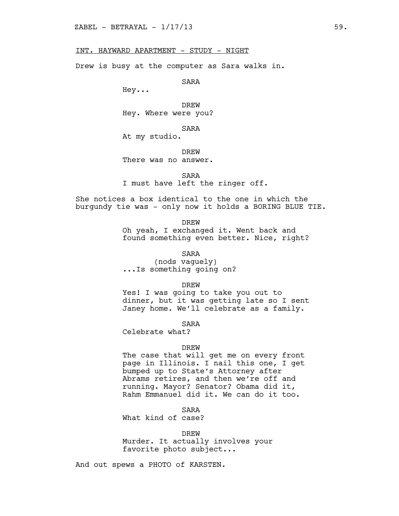## INT. HAYWARD APARTMENT - STUDY - NIGHT

Drew is busy at the computer as Sara walks in.

SARA

Hey...

DREW Hey. Where were you?

SARA At my studio.

**DREW** There was no answer.

SARA

I must have left the ringer off.

She notices a box identical to the one in which the burgundy tie was - only now it holds a BORING BLUE TIE.

DREW

Oh yeah, I exchanged it. Went back and found something even better. Nice, right?

SARA

(nods vaguely) ...Is something going on?

DREW

Yes! I was going to take you out to dinner, but it was getting late so I sent Janey home. We'll celebrate as a family.

SARA

Celebrate what?

#### DREW

The case that will get me on every front page in Illinois. I nail this one, I get bumped up to State's Attorney after Abrams retires, and then we're off and running. Mayor? Senator? Obama did it, Rahm Emmanuel did it. We can do it too.

SARA

What kind of case?

DREW

Murder. It actually involves your favorite photo subject...

And out spews a PHOTO of KARSTEN.